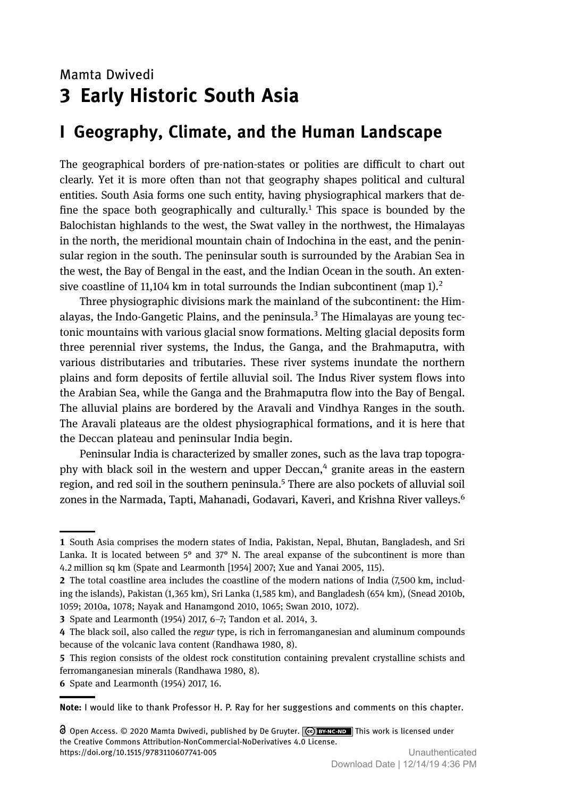# Mamta Dwivedi **3 Early Historic South Asia**

# **I Geography, Climate, and the Human Landscape**

The geographical borders of pre-nation-states or polities are difficult to chart out clearly. Yet it is more often than not that geography shapes political and cultural entities. South Asia forms one such entity, having physiographical markers that define the space both geographically and culturally.<sup>1</sup> This space is bounded by the Balochistan highlands to the west, the Swat valley in the northwest, the Himalayas in the north, the meridional mountain chain of Indochina in the east, and the peninsular region in the south. The peninsular south is surrounded by the Arabian Sea in the west, the Bay of Bengal in the east, and the Indian Ocean in the south. An extensive coastline of 11,104 km in total surrounds the Indian subcontinent (map  $1$ ).<sup>2</sup>

Three physiographic divisions mark the mainland of the subcontinent: the Himalayas, the Indo-Gangetic Plains, and the peninsula.<sup>3</sup> The Himalayas are young tectonic mountains with various glacial snow formations. Melting glacial deposits form three perennial river systems, the Indus, the Ganga, and the Brahmaputra, with various distributaries and tributaries. These river systems inundate the northern plains and form deposits of fertile alluvial soil. The Indus River system flows into the Arabian Sea, while the Ganga and the Brahmaputra flow into the Bay of Bengal. The alluvial plains are bordered by the Aravali and Vindhya Ranges in the south. The Aravali plateaus are the oldest physiographical formations, and it is here that the Deccan plateau and peninsular India begin.

Peninsular India is characterized by smaller zones, such as the lava trap topography with black soil in the western and upper Deccan, $4$  granite areas in the eastern region, and red soil in the southern peninsula.<sup>5</sup> There are also pockets of alluvial soil zones in the Narmada, Tapti, Mahanadi, Godavari, Kaveri, and Krishna River valleys.<sup>6</sup>

Spate and Learmonth (1954) 2017, 6–7; Tandon et al. 2014, 3.

 This region consists of the oldest rock constitution containing prevalent crystalline schists and ferromanganesian minerals (Randhawa 1980, 8).

**Note:** I would like to thank Professor H. P. Ray for her suggestions and comments on this chapter.

<sup>1</sup> South Asia comprises the modern states of India, Pakistan, Nepal, Bhutan, Bangladesh, and Sri Lanka. It is located between  $5^{\circ}$  and  $37^{\circ}$  N. The areal expanse of the subcontinent is more than 4.2 million sq km (Spate and Learmonth [1954] 2007; Xue and Yanai 2005, 115).

<sup>2</sup> The total coastline area includes the coastline of the modern nations of India (7,500 km, including the islands), Pakistan (1,365 km), Sri Lanka (1,585 km), and Bangladesh (654 km), (Snead 2010b, 1059; 2010a, 1078; Nayak and Hanamgond 2010, 1065; Swan 2010, 1072).

The black soil, also called the *regur* type, is rich in ferromanganesian and aluminum compounds because of the volcanic lava content (Randhawa 1980, 8).

<sup>6</sup> Spate and Learmonth (1954) 2017, 16.

O Open Access. © 2020 Mamta Dwivedi, published by De Gruyter.  $\lceil \frac{c}{c} \rceil$  BYNC-ND This work is licensed under the Creative Commons Attribution-NonCommercial-NoDerivatives 4.0 License. https://doi.org/10.1515/9783110607741-005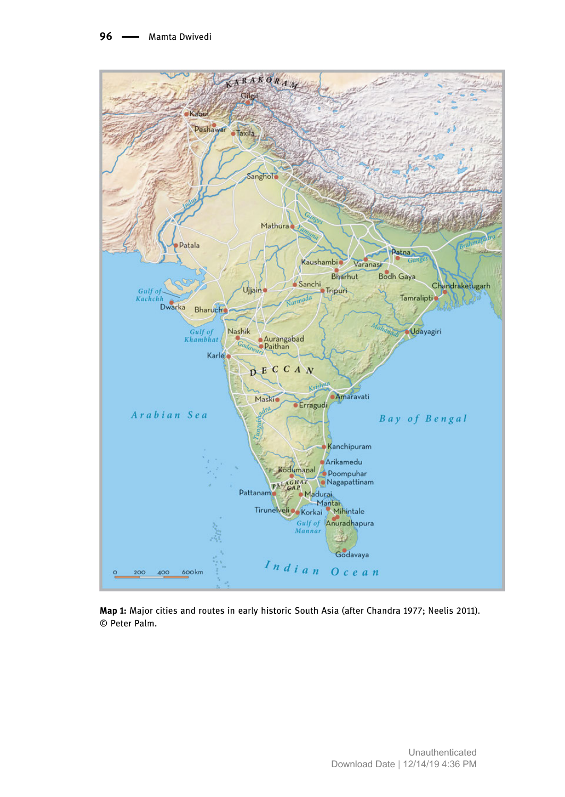

**Map 1:** Major cities and routes in early historic South Asia (after Chandra 1977; Neelis 2011). © Peter Palm.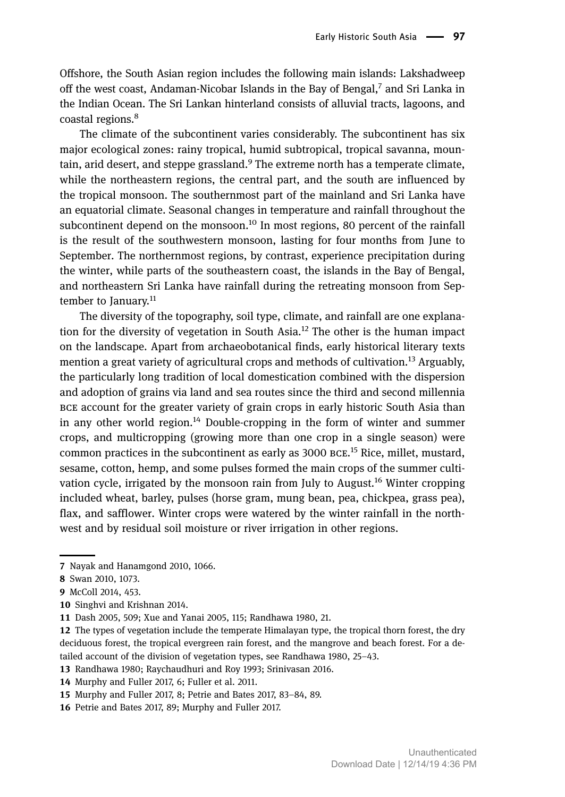Offshore, the South Asian region includes the following main islands: Lakshadweep off the west coast, Andaman-Nicobar Islands in the Bay of Bengal, $^7$  and Sri Lanka in the Indian Ocean. The Sri Lankan hinterland consists of alluvial tracts, lagoons, and coastal regions.<sup>8</sup>

The climate of the subcontinent varies considerably. The subcontinent has six major ecological zones: rainy tropical, humid subtropical, tropical savanna, mountain, arid desert, and steppe grassland.<sup>9</sup> The extreme north has a temperate climate, while the northeastern regions, the central part, and the south are influenced by the tropical monsoon. The southernmost part of the mainland and Sri Lanka have an equatorial climate. Seasonal changes in temperature and rainfall throughout the subcontinent depend on the monsoon.<sup>10</sup> In most regions, 80 percent of the rainfall is the result of the southwestern monsoon, lasting for four months from June to September. The northernmost regions, by contrast, experience precipitation during the winter, while parts of the southeastern coast, the islands in the Bay of Bengal, and northeastern Sri Lanka have rainfall during the retreating monsoon from September to January.<sup>11</sup>

The diversity of the topography, soil type, climate, and rainfall are one explanation for the diversity of vegetation in South Asia.<sup>12</sup> The other is the human impact on the landscape. Apart from archaeobotanical finds, early historical literary texts mention a great variety of agricultural crops and methods of cultivation.<sup>13</sup> Arguably, the particularly long tradition of local domestication combined with the dispersion and adoption of grains via land and sea routes since the third and second millennia account for the greater variety of grain crops in early historic South Asia than in any other world region.<sup>14</sup> Double-cropping in the form of winter and summer crops, and multicropping (growing more than one crop in a single season) were common practices in the subcontinent as early as  $3000$   $BCE$ .<sup>15</sup> Rice, millet, mustard, sesame, cotton, hemp, and some pulses formed the main crops of the summer cultivation cycle, irrigated by the monsoon rain from July to August.<sup>16</sup> Winter cropping included wheat, barley, pulses (horse gram, mung bean, pea, chickpea, grass pea), flax, and safflower. Winter crops were watered by the winter rainfall in the northwest and by residual soil moisture or river irrigation in other regions.

<sup>7</sup> Nayak and Hanamgond 2010, 1066.

<sup>8</sup> Swan 2010, 1073.

<sup>9</sup> McColl 2014, 453.

<sup>10</sup> Singhvi and Krishnan 2014.

Dash 2005, 509; Xue and Yanai 2005, 115; Randhawa 1980, 21.

<sup>12</sup> The types of vegetation include the temperate Himalayan type, the tropical thorn forest, the dry deciduous forest, the tropical evergreen rain forest, and the mangrove and beach forest. For a detailed account of the division of vegetation types, see Randhawa 1980, 25–43.

<sup>13</sup> Randhawa 1980; Raychaudhuri and Roy 1993; Srinivasan 2016.

Murphy and Fuller 2017, 6; Fuller et al. 2011.

Murphy and Fuller 2017, 8; Petrie and Bates 2017, 83–84, 89.

<sup>16</sup> Petrie and Bates 2017, 89; Murphy and Fuller 2017.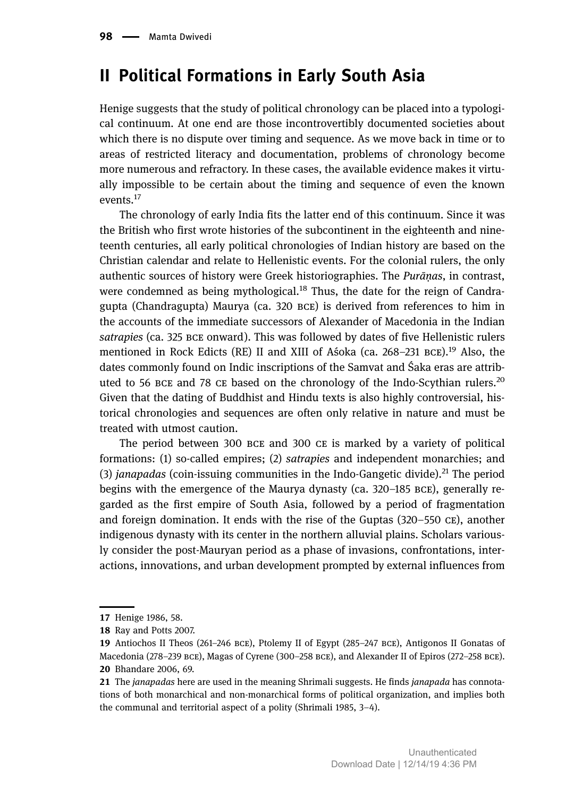## **II Political Formations in Early South Asia**

Henige suggests that the study of political chronology can be placed into a typological continuum. At one end are those incontrovertibly documented societies about which there is no dispute over timing and sequence. As we move back in time or to areas of restricted literacy and documentation, problems of chronology become more numerous and refractory. In these cases, the available evidence makes it virtually impossible to be certain about the timing and sequence of even the known events.<sup>17</sup>

The chronology of early India fits the latter end of this continuum. Since it was the British who first wrote histories of the subcontinent in the eighteenth and nineteenth centuries, all early political chronologies of Indian history are based on the Christian calendar and relate to Hellenistic events. For the colonial rulers, the only authentic sources of history were Greek historiographies. The *Purāṇas*, in contrast, were condemned as being mythological.<sup>18</sup> Thus, the date for the reign of Candragupta (Chandragupta) Maurya (ca. 320 BCE) is derived from references to him in the accounts of the immediate successors of Alexander of Macedonia in the Indian satrapies (ca. 325 BCE onward). This was followed by dates of five Hellenistic rulers mentioned in Rock Edicts (RE) II and XIII of Asoka (ca. 268–231 BCE).<sup>19</sup> Also, the dates commonly found on Indic inscriptions of the Samvat and Śaka eras are attributed to 56 BCE and 78 CE based on the chronology of the Indo-Scythian rulers.<sup>20</sup> Given that the dating of Buddhist and Hindu texts is also highly controversial, historical chronologies and sequences are often only relative in nature and must be treated with utmost caution.

The period between 300 BCE and 300 CE is marked by a variety of political formations: (1) so-called empires; (2) *satrapies* and independent monarchies; and (3) *janapadas* (coin-issuing communities in the Indo-Gangetic divide).<sup>21</sup> The period begins with the emergence of the Maurya dynasty (ca.  $320-185$  BCE), generally regarded as the first empire of South Asia, followed by a period of fragmentation and foreign domination. It ends with the rise of the Guptas  $(320-550 \text{ CE})$ , another indigenous dynasty with its center in the northern alluvial plains. Scholars variously consider the post-Mauryan period as a phase of invasions, confrontations, interactions, innovations, and urban development prompted by external influences from

<sup>17</sup> Henige 1986, 58.

<sup>18</sup> Ray and Potts 2007.

<sup>19</sup> Antiochos II Theos (261-246 BCE), Ptolemy II of Egypt (285-247 BCE), Antigonos II Gonatas of Macedonia (278–239 BCE), Magas of Cyrene (300–258 BCE), and Alexander II of Epiros (272–258 BCE). 20 Bhandare 2006, 69.

The *janapadas* here are used in the meaning Shrimali suggests. He finds *janapada* has connotations of both monarchical and non-monarchical forms of political organization, and implies both the communal and territorial aspect of a polity (Shrimali 1985, 3–4).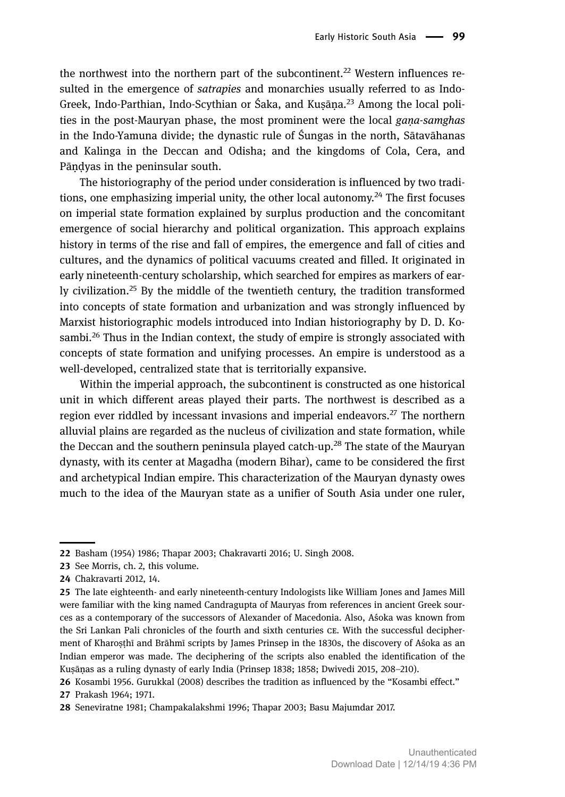the northwest into the northern part of the subcontinent.<sup>22</sup> Western influences resulted in the emergence of *satrapies* and monarchies usually referred to as Indo-Greek, Indo-Parthian, Indo-Scythian or Śaka, and Kusāna.<sup>23</sup> Among the local polities in the post-Mauryan phase, the most prominent were the local *gaṇa-samghas* in the Indo-Yamuna divide; the dynastic rule of Śungas in the north, Sātavāhanas and Kalinga in the Deccan and Odisha; and the kingdoms of Cola, Cera, and Pāṇḍyas in the peninsular south.

The historiography of the period under consideration is influenced by two traditions, one emphasizing imperial unity, the other local autonomy.<sup>24</sup> The first focuses on imperial state formation explained by surplus production and the concomitant emergence of social hierarchy and political organization. This approach explains history in terms of the rise and fall of empires, the emergence and fall of cities and cultures, and the dynamics of political vacuums created and filled. It originated in early nineteenth-century scholarship, which searched for empires as markers of early civilization.<sup>25</sup> By the middle of the twentieth century, the tradition transformed into concepts of state formation and urbanization and was strongly influenced by Marxist historiographic models introduced into Indian historiography by D. D. Kosambi.<sup>26</sup> Thus in the Indian context, the study of empire is strongly associated with concepts of state formation and unifying processes. An empire is understood as a well-developed, centralized state that is territorially expansive.

Within the imperial approach, the subcontinent is constructed as one historical unit in which different areas played their parts. The northwest is described as a region ever riddled by incessant invasions and imperial endeavors.<sup>27</sup> The northern alluvial plains are regarded as the nucleus of civilization and state formation, while the Deccan and the southern peninsula played catch-up.<sup>28</sup> The state of the Mauryan dynasty, with its center at Magadha (modern Bihar), came to be considered the first and archetypical Indian empire. This characterization of the Mauryan dynasty owes much to the idea of the Mauryan state as a unifier of South Asia under one ruler,

<sup>22</sup> Basham (1954) 1986; Thapar 2003; Chakravarti 2016; U. Singh 2008.

<sup>23</sup> See Morris, ch. 2, this volume.

<sup>24</sup> Chakravarti 2012, 14.

<sup>25</sup> The late eighteenth- and early nineteenth-century Indologists like William Jones and James Mill were familiar with the king named Candragupta of Mauryas from references in ancient Greek sources as a contemporary of the successors of Alexander of Macedonia. Also, Aśoka was known from the Sri Lankan Pali chronicles of the fourth and sixth centuries CE. With the successful decipherment of Kharoṣṭhī and Brāhmī scripts by James Prinsep in the 1830s, the discovery of Aśoka as an Indian emperor was made. The deciphering of the scripts also enabled the identification of the Kuṣāṇas as a ruling dynasty of early India (Prinsep 1838; 1858; Dwivedi 2015, 208–210).

<sup>26</sup> Kosambi 1956. Gurukkal (2008) describes the tradition as influenced by the "Kosambi effect." 27 Prakash 1964; 1971.

Seneviratne 1981; Champakalakshmi 1996; Thapar 2003; Basu Majumdar 2017.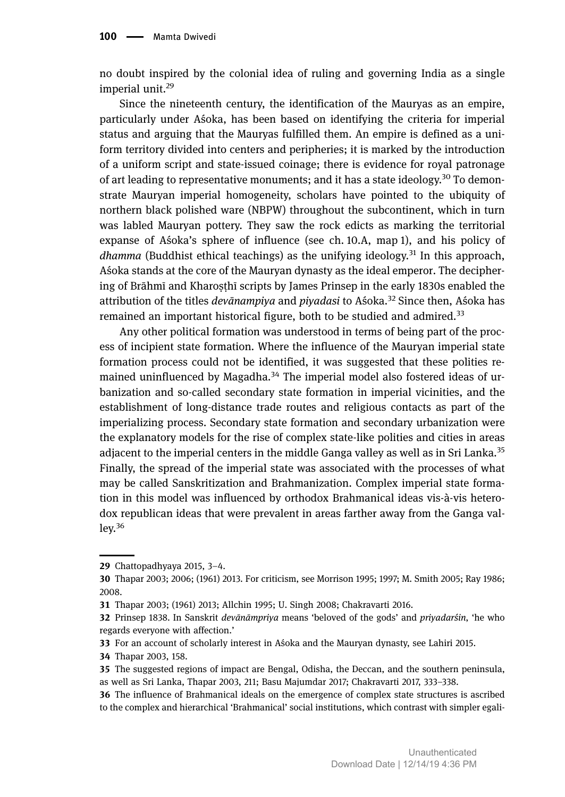no doubt inspired by the colonial idea of ruling and governing India as a single imperial unit.<sup>29</sup>

Since the nineteenth century, the identification of the Mauryas as an empire, particularly under Aśoka, has been based on identifying the criteria for imperial status and arguing that the Mauryas fulfilled them. An empire is defined as a uniform territory divided into centers and peripheries; it is marked by the introduction of a uniform script and state-issued coinage; there is evidence for royal patronage of art leading to representative monuments; and it has a state ideology.<sup>30</sup> To demonstrate Mauryan imperial homogeneity, scholars have pointed to the ubiquity of northern black polished ware (NBPW) throughout the subcontinent, which in turn was labled Mauryan pottery. They saw the rock edicts as marking the territorial expanse of Aśoka's sphere of influence (see ch. 10.A, map 1), and his policy of *dhamma* (Buddhist ethical teachings) as the unifying ideology.<sup>31</sup> In this approach, Aśoka stands at the core of the Mauryan dynasty as the ideal emperor. The deciphering of Brāhmī and Kharosthī scripts by James Prinsep in the early 1830s enabled the attribution of the titles *devānampiya* and *piyadasi* to Aśoka.<sup>32</sup> Since then, Aśoka has remained an important historical figure, both to be studied and admired.<sup>33</sup>

Any other political formation was understood in terms of being part of the process of incipient state formation. Where the influence of the Mauryan imperial state formation process could not be identified, it was suggested that these polities remained uninfluenced by Magadha.<sup>34</sup> The imperial model also fostered ideas of urbanization and so-called secondary state formation in imperial vicinities, and the establishment of long-distance trade routes and religious contacts as part of the imperializing process. Secondary state formation and secondary urbanization were the explanatory models for the rise of complex state-like polities and cities in areas adjacent to the imperial centers in the middle Ganga valley as well as in Sri Lanka.<sup>35</sup> Finally, the spread of the imperial state was associated with the processes of what may be called Sanskritization and Brahmanization. Complex imperial state formation in this model was influenced by orthodox Brahmanical ideas vis-à-vis heterodox republican ideas that were prevalent in areas farther away from the Ganga val $lev<sup>36</sup>$ 

<sup>29</sup> Chattopadhyaya 2015,  $3-4$ .

Thapar 2003; 2006; (1961) 2013. For criticism, see Morrison 1995; 1997; M. Smith 2005; Ray 1986; 2008.

Thapar 2003; (1961) 2013; Allchin 1995; U. Singh 2008; Chakravarti 2016.

Prinsep 1838. In Sanskrit *devānāmpriya* means 'beloved of the gods' and *priyadarśin*, 'he who regards everyone with affection.'

<sup>33</sup> For an account of scholarly interest in Aśoka and the Mauryan dynasty, see Lahiri 2015.

<sup>34</sup> Thapar 2003, 158.

The suggested regions of impact are Bengal, Odisha, the Deccan, and the southern peninsula, as well as Sri Lanka, Thapar 2003, 211; Basu Majumdar 2017; Chakravarti 2017, 333–338.

<sup>36</sup> The influence of Brahmanical ideals on the emergence of complex state structures is ascribed to the complex and hierarchical 'Brahmanical' social institutions, which contrast with simpler egali-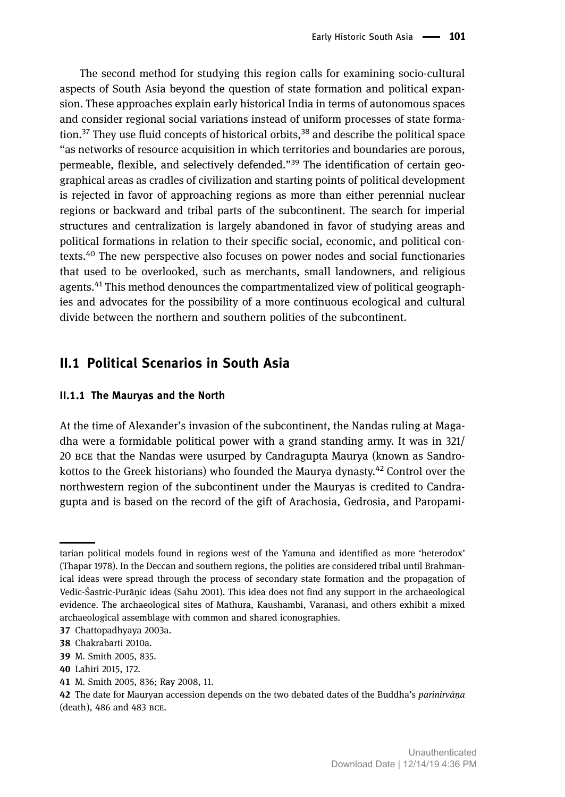The second method for studying this region calls for examining socio-cultural aspects of South Asia beyond the question of state formation and political expansion. These approaches explain early historical India in terms of autonomous spaces and consider regional social variations instead of uniform processes of state formation.<sup>37</sup> They use fluid concepts of historical orbits,  $38$  and describe the political space "as networks of resource acquisition in which territories and boundaries are porous, permeable, flexible, and selectively defended." <sup>39</sup> The identification of certain geographical areas as cradles of civilization and starting points of political development is rejected in favor of approaching regions as more than either perennial nuclear regions or backward and tribal parts of the subcontinent. The search for imperial structures and centralization is largely abandoned in favor of studying areas and political formations in relation to their specific social, economic, and political contexts.<sup>40</sup> The new perspective also focuses on power nodes and social functionaries that used to be overlooked, such as merchants, small landowners, and religious agents.<sup>41</sup> This method denounces the compartmentalized view of political geographies and advocates for the possibility of a more continuous ecological and cultural divide between the northern and southern polities of the subcontinent.

### **II. Political Scenarios in South Asia**

### **II.. The Mauryas and the North**

At the time of Alexander's invasion of the subcontinent, the Nandas ruling at Magadha were a formidable political power with a grand standing army. It was in 321/ 20 BCE that the Nandas were usurped by Candragupta Maurya (known as Sandrokottos to the Greek historians) who founded the Maurya dynasty.<sup>42</sup> Control over the northwestern region of the subcontinent under the Mauryas is credited to Candragupta and is based on the record of the gift of Arachosia, Gedrosia, and Paropami-

tarian political models found in regions west of the Yamuna and identified as more 'heterodox' (Thapar 1978). In the Deccan and southern regions, the polities are considered tribal until Brahmanical ideas were spread through the process of secondary state formation and the propagation of Vedic-Śastric-Purānic ideas (Sahu 2001). This idea does not find any support in the archaeological evidence. The archaeological sites of Mathura, Kaushambi, Varanasi, and others exhibit a mixed archaeological assemblage with common and shared iconographies.

<sup>37</sup> Chattopadhyaya 2003a.

<sup>38</sup> Chakrabarti 2010a.

<sup>39</sup> M. Smith 2005, 835.

Lahiri 2015, 172.

M. Smith 2005, 836; Ray 2008, 11.

The date for Mauryan accession depends on the two debated dates of the Buddha's *parinirvāṇa*  $(d$ eath), 486 and 483 BCE.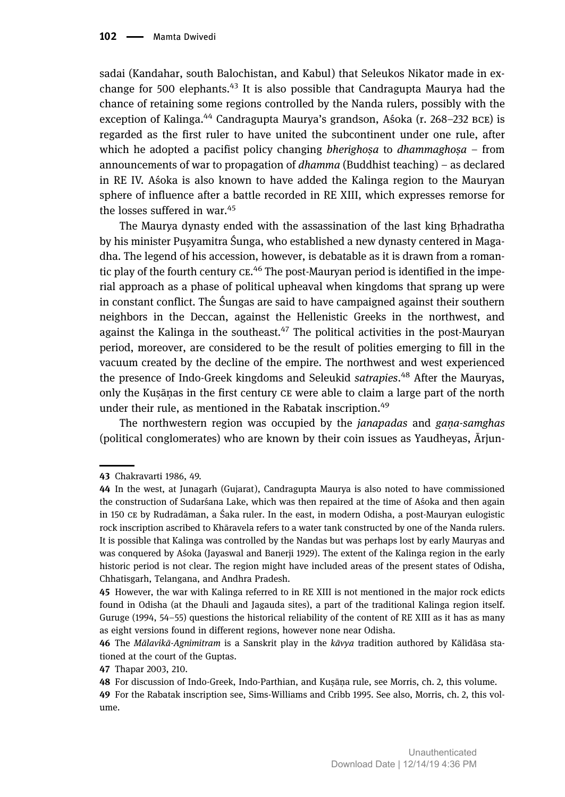sadai (Kandahar, south Balochistan, and Kabul) that Seleukos Nikator made in exchange for 500 elephants.<sup>43</sup> It is also possible that Candragupta Maurya had the chance of retaining some regions controlled by the Nanda rulers, possibly with the exception of Kalinga.<sup>44</sup> Candragupta Maurya's grandson, Aśoka (r. 268–232 BCE) is regarded as the first ruler to have united the subcontinent under one rule, after which he adopted a pacifist policy changing *bherighoṣa* to *dhammaghoṣa –* from announcements of war to propagation of *dhamma* (Buddhist teaching) – as declared in RE IV. Aśoka is also known to have added the Kalinga region to the Mauryan sphere of influence after a battle recorded in RE XIII, which expresses remorse for the losses suffered in war.<sup>45</sup>

The Maurya dynasty ended with the assassination of the last king Bṛhadratha by his minister Pusyamitra Śunga, who established a new dynasty centered in Magadha. The legend of his accession, however, is debatable as it is drawn from a romantic play of the fourth century CE.<sup>46</sup> The post-Mauryan period is identified in the imperial approach as a phase of political upheaval when kingdoms that sprang up were in constant conflict. The Śungas are said to have campaigned against their southern neighbors in the Deccan, against the Hellenistic Greeks in the northwest, and against the Kalinga in the southeast.<sup>47</sup> The political activities in the post-Mauryan period, moreover, are considered to be the result of polities emerging to fill in the vacuum created by the decline of the empire. The northwest and west experienced the presence of Indo-Greek kingdoms and Seleukid *satrapies*. <sup>48</sup> After the Mauryas, only the Kuṣāṇas in the first century CE were able to claim a large part of the north under their rule, as mentioned in the Rabatak inscription.<sup>49</sup>

The northwestern region was occupied by the *janapadas* and *gaṇa-samghas* (political conglomerates) who are known by their coin issues as Yaudheyas, Ārjun-

Chakravarti 1986, 49.

<sup>44</sup> In the west, at Junagarh (Gujarat), Candragupta Maurya is also noted to have commissioned the construction of Sudarśana Lake, which was then repaired at the time of Aśoka and then again in 150 by Rudradāman, a Śaka ruler. In the east, in modern Odisha, a post-Mauryan eulogistic rock inscription ascribed to Khāravela refers to a water tank constructed by one of the Nanda rulers. It is possible that Kalinga was controlled by the Nandas but was perhaps lost by early Mauryas and was conquered by Aśoka (Jayaswal and Banerji 1929). The extent of the Kalinga region in the early historic period is not clear. The region might have included areas of the present states of Odisha, Chhatisgarh, Telangana, and Andhra Pradesh.

<sup>45</sup> However, the war with Kalinga referred to in RE XIII is not mentioned in the major rock edicts found in Odisha (at the Dhauli and Jagauda sites), a part of the traditional Kalinga region itself. Guruge (1994, 54–55) questions the historical reliability of the content of RE XIII as it has as many as eight versions found in different regions, however none near Odisha.

The *Mālavikā-Agnimitram* is a Sanskrit play in the *kāvya* tradition authored by Kālīdāsa stationed at the court of the Guptas.

<sup>47</sup> Thapar 2003, 210.

<sup>48</sup> For discussion of Indo-Greek, Indo-Parthian, and Kuṣāṇa rule, see Morris, ch. 2, this volume.

For the Rabatak inscription see, Sims-Williams and Cribb 1995. See also, Morris, ch. 2, this volume.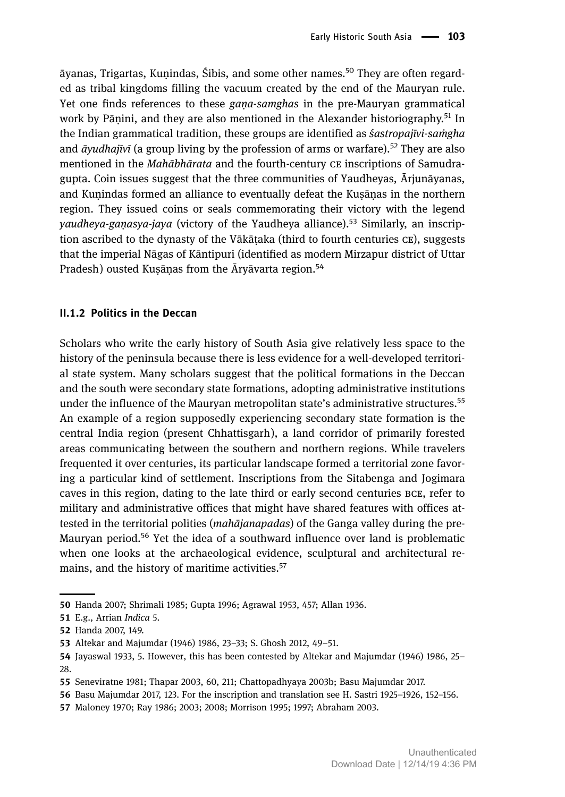āyanas, Trigartas, Kunindas, Śibis, and some other names.<sup>50</sup> They are often regarded as tribal kingdoms filling the vacuum created by the end of the Mauryan rule. Yet one finds references to these *gaṇa-samghas* in the pre-Mauryan grammatical work by Pānini, and they are also mentioned in the Alexander historiography.<sup>51</sup> In the Indian grammatical tradition, these groups are identified as *śastropajīvi-saṁgha* and *āyudhajīvī* (a group living by the profession of arms or warfare).<sup>52</sup> They are also mentioned in the *Mahābhārata* and the fourth-century CE inscriptions of Samudragupta. Coin issues suggest that the three communities of Yaudheyas, Ārjunāyanas, and Kuṇindas formed an alliance to eventually defeat the Kuṣāṇas in the northern region. They issued coins or seals commemorating their victory with the legend *yaudheya-gaṇasya-jaya* (victory of the Yaudheya alliance).<sup>53</sup> Similarly, an inscription ascribed to the dynasty of the Vākātaka (third to fourth centuries  $CE$ ), suggests that the imperial Nāgas of Kāntipuri (identified as modern Mirzapur district of Uttar Pradesh) ousted Kusānas from the Āryāvarta region.<sup>54</sup>

### **II.. Politics in the Deccan**

Scholars who write the early history of South Asia give relatively less space to the history of the peninsula because there is less evidence for a well-developed territorial state system. Many scholars suggest that the political formations in the Deccan and the south were secondary state formations, adopting administrative institutions under the influence of the Mauryan metropolitan state's administrative structures.<sup>55</sup> An example of a region supposedly experiencing secondary state formation is the central India region (present Chhattisgarh), a land corridor of primarily forested areas communicating between the southern and northern regions. While travelers frequented it over centuries, its particular landscape formed a territorial zone favoring a particular kind of settlement. Inscriptions from the Sitabenga and Jogimara caves in this region, dating to the late third or early second centuries BCE, refer to military and administrative offices that might have shared features with offices attested in the territorial polities (*mahājanapadas*) of the Ganga valley during the pre-Mauryan period.<sup>56</sup> Yet the idea of a southward influence over land is problematic when one looks at the archaeological evidence, sculptural and architectural remains, and the history of maritime activities.<sup>57</sup>

<sup>50</sup> Handa 2007; Shrimali 1985; Gupta 1996; Agrawal 1953, 457; Allan 1936.

E.g., Arrian *Indica* 5.

<sup>52</sup> Handa 2007, 149.

Altekar and Majumdar (1946) 1986, 23–33; S. Ghosh 2012, 49–51.

Jayaswal 1933, 5. However, this has been contested by Altekar and Majumdar (1946) 1986, 25– 28.

Seneviratne 1981; Thapar 2003, 60, 211; Chattopadhyaya 2003b; Basu Majumdar 2017.

<sup>56</sup> Basu Majumdar 2017, 123. For the inscription and translation see H. Sastri 1925–1926, 152–156.

Maloney 1970; Ray 1986; 2003; 2008; Morrison 1995; 1997; Abraham 2003.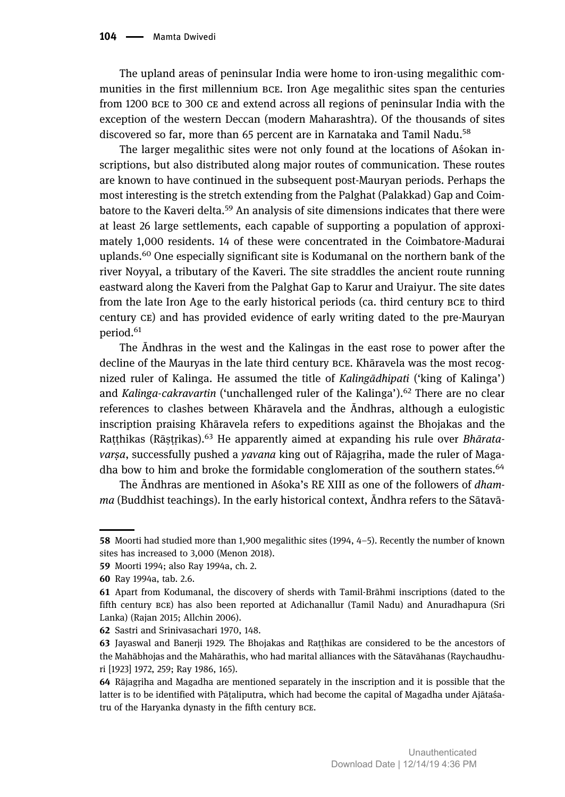The upland areas of peninsular India were home to iron-using megalithic communities in the first millennium BCE. Iron Age megalithic sites span the centuries from 1200 BCE to 300 CE and extend across all regions of peninsular India with the exception of the western Deccan (modern Maharashtra). Of the thousands of sites discovered so far, more than 65 percent are in Karnataka and Tamil Nadu.<sup>58</sup>

The larger megalithic sites were not only found at the locations of Aśokan inscriptions, but also distributed along major routes of communication. These routes are known to have continued in the subsequent post-Mauryan periods. Perhaps the most interesting is the stretch extending from the Palghat (Palakkad) Gap and Coimbatore to the Kaveri delta.<sup>59</sup> An analysis of site dimensions indicates that there were at least 26 large settlements, each capable of supporting a population of approximately 1,000 residents. 14 of these were concentrated in the Coimbatore-Madurai uplands.<sup>60</sup> One especially significant site is Kodumanal on the northern bank of the river Noyyal, a tributary of the Kaveri. The site straddles the ancient route running eastward along the Kaveri from the Palghat Gap to Karur and Uraiyur. The site dates from the late Iron Age to the early historical periods (ca. third century BCE to third century  $CE$ ) and has provided evidence of early writing dated to the pre-Mauryan period.<sup>61</sup>

The Āndhras in the west and the Kalingas in the east rose to power after the decline of the Mauryas in the late third century BCE. Khāravela was the most recognized ruler of Kalinga. He assumed the title of *Kalingādhipati* ('king of Kalinga') and *Kalinga-cakravartin* ('unchallenged ruler of the Kalinga').<sup>62</sup> There are no clear references to clashes between Khāravela and the Āndhras, although a eulogistic inscription praising Khāravela refers to expeditions against the Bhojakas and the Raṭṭhikas (Rāṣṭṛikas).<sup>63</sup> He apparently aimed at expanding his rule over *Bhāratavarṣa*, successfully pushed a *yavana* king out of Rājagṛiha, made the ruler of Magadha bow to him and broke the formidable conglomeration of the southern states.<sup>64</sup>

The Āndhras are mentioned in Aśoka's RE XIII as one of the followers of *dhamma* (Buddhist teachings). In the early historical context, Āndhra refers to the Sātavā-

<sup>58</sup> Moorti had studied more than 1,900 megalithic sites (1994, 4-5). Recently the number of known sites has increased to 3,000 (Menon 2018).

<sup>59</sup> Moorti 1994; also Ray 1994a, ch. 2.

<sup>60</sup> Ray 1994a, tab. 2.6.

Apart from Kodumanal, the discovery of sherds with Tamil-Brāhmī inscriptions (dated to the fifth century BCE) has also been reported at Adichanallur (Tamil Nadu) and Anuradhapura (Sri Lanka) (Rajan 2015; Allchin 2006).

<sup>62</sup> Sastri and Srinivasachari 1970, 148.

<sup>63</sup> Jayaswal and Banerji 1929. The Bhojakas and Raṭṭhikas are considered to be the ancestors of the Mahābhojas and the Mahārathis, who had marital alliances with the Sātavāhanas (Raychaudhuri [1923] 1972, 259; Ray 1986, 165).

<sup>64</sup> Rājagriha and Magadha are mentioned separately in the inscription and it is possible that the latter is to be identified with Pāṭaliputra, which had become the capital of Magadha under Ajātaśatru of the Haryanka dynasty in the fifth century BCE.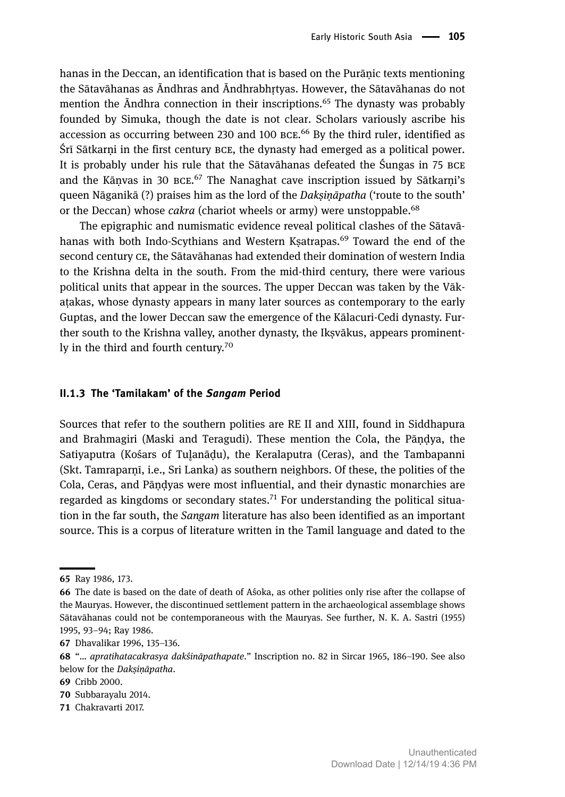hanas in the Deccan, an identification that is based on the Purāṇic texts mentioning the Sātavāhanas as Āndhras and Āndhrabhṛtyas. However, the Sātavāhanas do not mention the  $\bar{A}$ ndhra connection in their inscriptions.<sup>65</sup> The dynasty was probably founded by Simuka, though the date is not clear. Scholars variously ascribe his accession as occurring between 230 and 100  $\texttt{BCE.}^{66}$  By the third ruler, identified as Śrī Sātkarni in the first century BCE, the dynasty had emerged as a political power. It is probably under his rule that the Sātavāhanas defeated the Śungas in 75 and the Kāṇvas in 30 BCE.<sup>67</sup> The Nanaghat cave inscription issued by Sātkarṇi's queen Nāganikā (?) praises him as the lord of the *Dakṣiṇāpatha* ('route to the south' or the Deccan) whose *cakra* (chariot wheels or army) were unstoppable.<sup>68</sup>

The epigraphic and numismatic evidence reveal political clashes of the Sātavāhanas with both Indo-Scythians and Western Ksatrapas.<sup>69</sup> Toward the end of the second century CE, the Sātavāhanas had extended their domination of western India to the Krishna delta in the south. From the mid-third century, there were various political units that appear in the sources. The upper Deccan was taken by the Vākaṭakas, whose dynasty appears in many later sources as contemporary to the early Guptas, and the lower Deccan saw the emergence of the Kālacuri-Cedi dynasty. Further south to the Krishna valley, another dynasty, the Ikṣvākus, appears prominently in the third and fourth century.<sup>70</sup>

#### **II.. The 'Tamilakam' of the** *Sangam* **Period**

Sources that refer to the southern polities are RE II and XIII, found in Siddhapura and Brahmagiri (Maski and Teragudi). These mention the Cola, the Pāṇḍya, the Satiyaputra (Kośars of Tulanādu), the Keralaputra (Ceras), and the Tambapanni (Skt. Tamraparṇī, i.e., Sri Lanka) as southern neighbors. Of these, the polities of the Cola, Ceras, and Pāṇḍyas were most influential, and their dynastic monarchies are regarded as kingdoms or secondary states.<sup>71</sup> For understanding the political situation in the far south, the *Sangam* literature has also been identified as an important source. This is a corpus of literature written in the Tamil language and dated to the

Dhavalikar 1996, 135–136.

71 Chakravarti 2017.

<sup>65</sup> Ray 1986, 173.

The date is based on the date of death of Aśoka, as other polities only rise after the collapse of the Mauryas. However, the discontinued settlement pattern in the archaeological assemblage shows Sātavāhanas could not be contemporaneous with the Mauryas. See further, N. K. A. Sastri (1955) 1995, 93–94; Ray 1986.

"… *apratihatacakrasya dakśināpathapate*." Inscription no. 82 in Sircar 1965, 186–190. See also below for the *Dakṣiṇāpatha*.

<sup>69</sup> Cribb 2000.

<sup>70</sup> Subbarayalu 2014.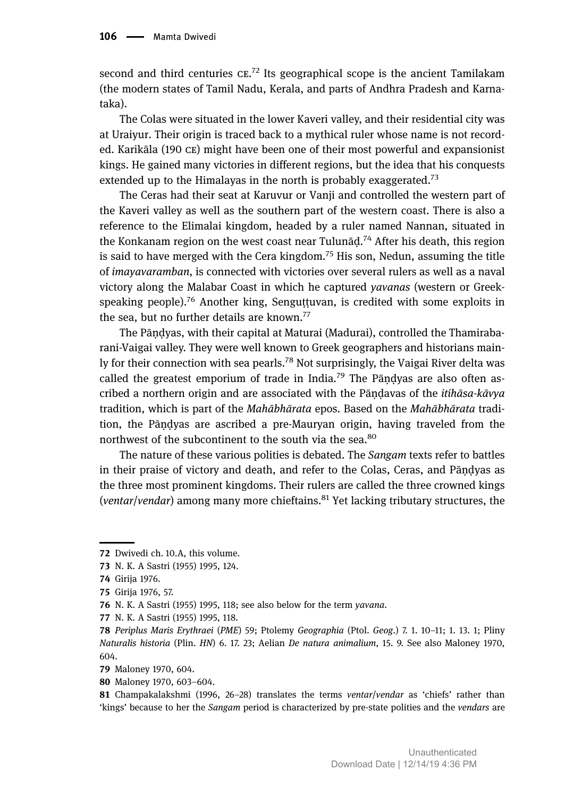second and third centuries  $CE.^{72}$  Its geographical scope is the ancient Tamilakam (the modern states of Tamil Nadu, Kerala, and parts of Andhra Pradesh and Karnataka).

The Colas were situated in the lower Kaveri valley, and their residential city was at Uraiyur. Their origin is traced back to a mythical ruler whose name is not recorded. Karikāla (190 ce) might have been one of their most powerful and expansionist kings. He gained many victories in different regions, but the idea that his conquests extended up to the Himalayas in the north is probably exaggerated.<sup>73</sup>

The Ceras had their seat at Karuvur or Vanji and controlled the western part of the Kaveri valley as well as the southern part of the western coast. There is also a reference to the Elimalai kingdom, headed by a ruler named Nannan, situated in the Konkanam region on the west coast near Tulunāḍ. <sup>74</sup> After his death, this region is said to have merged with the Cera kingdom.<sup>75</sup> His son, Nedun, assuming the title of *imayavaramban*, is connected with victories over several rulers as well as a naval victory along the Malabar Coast in which he captured *yavanas* (western or Greekspeaking people).<sup>76</sup> Another king, Senguttuvan, is credited with some exploits in the sea, but no further details are known.<sup>77</sup>

The Pāṇḍyas, with their capital at Maturai (Madurai), controlled the Thamirabarani-Vaigai valley. They were well known to Greek geographers and historians mainly for their connection with sea pearls.<sup>78</sup> Not surprisingly, the Vaigai River delta was called the greatest emporium of trade in India.<sup>79</sup> The Pāndyas are also often ascribed a northern origin and are associated with the Pāṇḍavas of the *itihāsa-kāvya* tradition, which is part of the *Mahābhārata* epos. Based on the *Mahābhārata* tradition, the Pāṇḍyas are ascribed a pre-Mauryan origin, having traveled from the northwest of the subcontinent to the south via the sea.<sup>80</sup>

The nature of these various polities is debated. The *Sangam* texts refer to battles in their praise of victory and death, and refer to the Colas, Ceras, and Pāṇḍyas as the three most prominent kingdoms. Their rulers are called the three crowned kings (*ventar*/*vendar*) among many more chieftains.<sup>81</sup> Yet lacking tributary structures, the

<sup>72</sup> Dwivedi ch. 10.A, this volume.

N. K. A Sastri (1955) 1995, 124.

Girija 1976.

Girija 1976, 57.

N. K. A Sastri (1955) 1995, 118; see also below for the term *yavana*.

N. K. A Sastri (1955) 1995, 118.

*Periplus Maris Erythraei* (*PME*) 59; Ptolemy *Geographia* (Ptol. *Geog*.) 7. 1. 10–11; 1. 13. 1; Pliny *Naturalis historia* (Plin. *HN*) 6. 17. 23; Aelian *De natura animalium*, 15. 9. See also Maloney 1970, 604.

<sup>79</sup> Maloney 1970, 604.

<sup>80</sup> Maloney 1970, 603-604.

Champakalakshmi (1996, 26–28) translates the terms *ventar*/*vendar* as 'chiefs' rather than 'kings' because to her the *Sangam* period is characterized by pre-state polities and the *vendars* are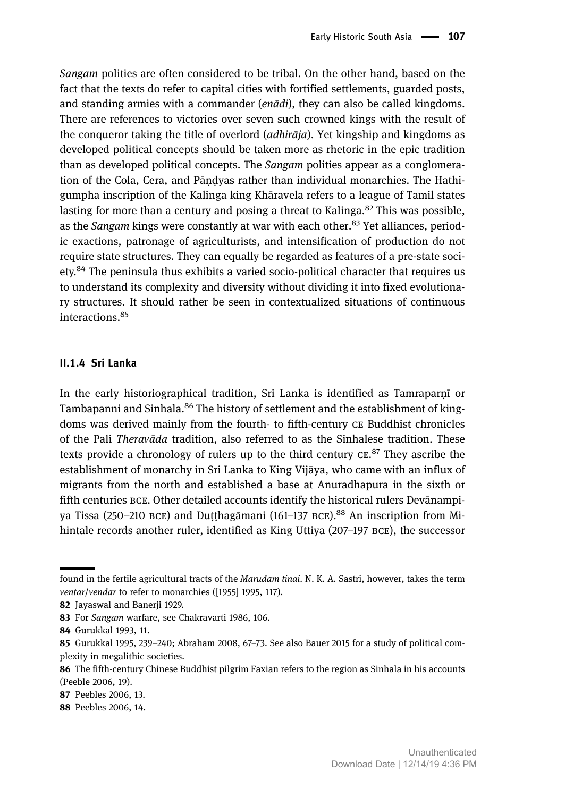*Sangam* polities are often considered to be tribal. On the other hand, based on the fact that the texts do refer to capital cities with fortified settlements, guarded posts, and standing armies with a commander (*enādi*), they can also be called kingdoms. There are references to victories over seven such crowned kings with the result of the conqueror taking the title of overlord (*adhirāja*). Yet kingship and kingdoms as developed political concepts should be taken more as rhetoric in the epic tradition than as developed political concepts. The *Sangam* polities appear as a conglomeration of the Cola, Cera, and Pāṇḍyas rather than individual monarchies. The Hathigumpha inscription of the Kalinga king Khāravela refers to a league of Tamil states lasting for more than a century and posing a threat to Kalinga.<sup>82</sup> This was possible, as the *Sangam* kings were constantly at war with each other.<sup>83</sup> Yet alliances, periodic exactions, patronage of agriculturists, and intensification of production do not require state structures. They can equally be regarded as features of a pre-state society.<sup>84</sup> The peninsula thus exhibits a varied socio-political character that requires us to understand its complexity and diversity without dividing it into fixed evolutionary structures. It should rather be seen in contextualized situations of continuous interactions.<sup>85</sup>

### **II.. Sri Lanka**

In the early historiographical tradition, Sri Lanka is identified as Tamraparnī or Tambapanni and Sinhala.<sup>86</sup> The history of settlement and the establishment of kingdoms was derived mainly from the fourth- to fifth-century CE Buddhist chronicles of the Pali *Theravāda* tradition, also referred to as the Sinhalese tradition. These texts provide a chronology of rulers up to the third century  $\mathrm{c}\mathrm{e}^\mathrm{s}$ . They ascribe the establishment of monarchy in Sri Lanka to King Vijāya, who came with an influx of migrants from the north and established a base at Anuradhapura in the sixth or fifth centuries BCE. Other detailed accounts identify the historical rulers Devānampiya Tissa (250–210 BCE) and Duṭṭhagāmani (161–137 BCE).<sup>88</sup> An inscription from Mihintale records another ruler, identified as King Uttiya (207–197 BCE), the successor

found in the fertile agricultural tracts of the *Marudam tinai*. N. K. A. Sastri, however, takes the term *ventar*/*vendar* to refer to monarchies ([1955] 1995, 117).

<sup>82</sup> Jayaswal and Banerji 1929.

<sup>83</sup> For *Sangam* warfare, see Chakravarti 1986, 106.

<sup>84</sup> Gurukkal 1993, 11.

Gurukkal 1995, 239–240; Abraham 2008, 67–73. See also Bauer 2015 for a study of political complexity in megalithic societies.

The fifth-century Chinese Buddhist pilgrim Faxian refers to the region as Sinhala in his accounts (Peeble 2006, 19).

<sup>87</sup> Peebles 2006, 13.

<sup>88</sup> Peebles 2006, 14.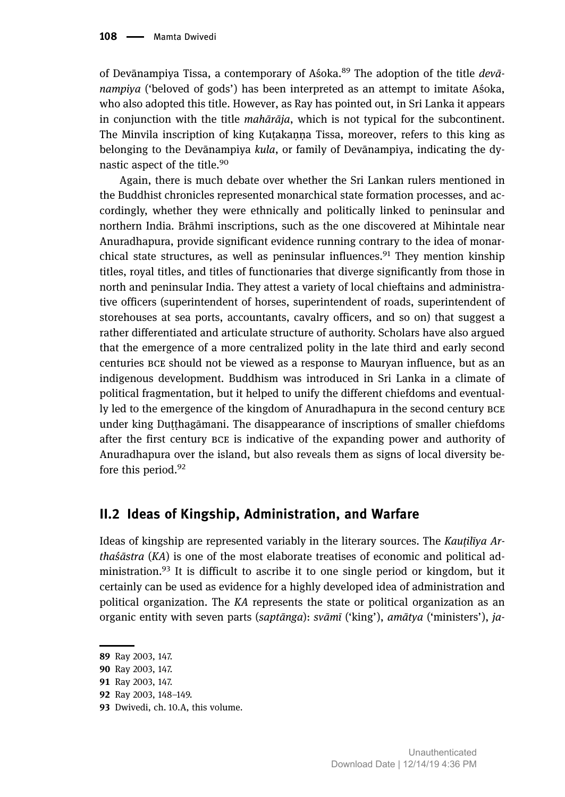of Devānampiya Tissa, a contemporary of Aśoka.<sup>89</sup> The adoption of the title *devānampiya* ('beloved of gods') has been interpreted as an attempt to imitate Aśoka, who also adopted this title. However, as Ray has pointed out, in Sri Lanka it appears in conjunction with the title *mahārāja*, which is not typical for the subcontinent. The Minvila inscription of king Kutakanna Tissa, moreover, refers to this king as belonging to the Devānampiya *kula*, or family of Devānampiya, indicating the dynastic aspect of the title.<sup>90</sup>

Again, there is much debate over whether the Sri Lankan rulers mentioned in the Buddhist chronicles represented monarchical state formation processes, and accordingly, whether they were ethnically and politically linked to peninsular and northern India. Brāhmī inscriptions, such as the one discovered at Mihintale near Anuradhapura, provide significant evidence running contrary to the idea of monarchical state structures, as well as peninsular influences.<sup>91</sup> They mention kinship titles, royal titles, and titles of functionaries that diverge significantly from those in north and peninsular India. They attest a variety of local chieftains and administrative officers (superintendent of horses, superintendent of roads, superintendent of storehouses at sea ports, accountants, cavalry officers, and so on) that suggest a rather differentiated and articulate structure of authority. Scholars have also argued that the emergence of a more centralized polity in the late third and early second centuries BCE should not be viewed as a response to Mauryan influence, but as an indigenous development. Buddhism was introduced in Sri Lanka in a climate of political fragmentation, but it helped to unify the different chiefdoms and eventually led to the emergence of the kingdom of Anuradhapura in the second century under king Duṭṭhagāmani. The disappearance of inscriptions of smaller chiefdoms after the first century BCE is indicative of the expanding power and authority of Anuradhapura over the island, but also reveals them as signs of local diversity before this period.<sup>92</sup>

### **II. Ideas of Kingship, Administration, and Warfare**

Ideas of kingship are represented variably in the literary sources. The *Kauṭilīya Arthaśāstra* (*KA*) is one of the most elaborate treatises of economic and political administration.<sup>93</sup> It is difficult to ascribe it to one single period or kingdom, but it certainly can be used as evidence for a highly developed idea of administration and political organization. The *KA* represents the state or political organization as an organic entity with seven parts (*saptānga*): *svāmī* ('king'), *amātya* ('ministers'), *ja-*

<sup>89</sup> Ray 2003, 147.

<sup>90</sup> Ray 2003, 147.

<sup>91</sup> Ray 2003, 147.

<sup>92</sup> Ray 2003, 148-149.

<sup>93</sup> Dwivedi, ch. 10.A, this volume.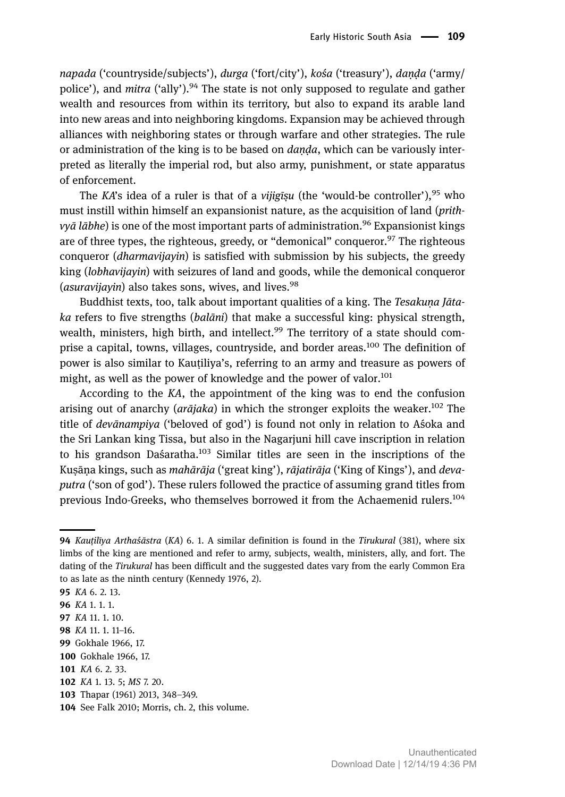*napada* ('countryside/subjects'), *durga* ('fort/city'), *kośa* ('treasury'), *daṇḍa* ('army/ police'), and *mitra* ('ally').<sup>94</sup> The state is not only supposed to regulate and gather wealth and resources from within its territory, but also to expand its arable land into new areas and into neighboring kingdoms. Expansion may be achieved through alliances with neighboring states or through warfare and other strategies. The rule or administration of the king is to be based on *daṇḍa*, which can be variously interpreted as literally the imperial rod, but also army, punishment, or state apparatus of enforcement.

The *KA*'s idea of a ruler is that of a *vijigīsu* (the 'would-be controller'),<sup>95</sup> who must instill within himself an expansionist nature, as the acquisition of land (*prithvyā lābhe*) is one of the most important parts of administration.<sup>96</sup> Expansionist kings are of three types, the righteous, greedy, or "demonical" conqueror.  $97$  The righteous conqueror (*dharmavijayin*) is satisfied with submission by his subjects, the greedy king (*lobhavijayin*) with seizures of land and goods, while the demonical conqueror (*asuravijayin*) also takes sons, wives, and lives.<sup>98</sup>

Buddhist texts, too, talk about important qualities of a king. The *Tesakuṇa Jātaka* refers to five strengths (*balāni*) that make a successful king: physical strength, wealth, ministers, high birth, and intellect.<sup>99</sup> The territory of a state should comprise a capital, towns, villages, countryside, and border areas.<sup>100</sup> The definition of power is also similar to Kauṭiliya's, referring to an army and treasure as powers of might, as well as the power of knowledge and the power of valor.<sup>101</sup>

According to the *KA*, the appointment of the king was to end the confusion arising out of anarchy (*arājaka*) in which the stronger exploits the weaker.<sup>102</sup> The title of *devānampiya* ('beloved of god') is found not only in relation to Aśoka and the Sri Lankan king Tissa, but also in the Nagarjuni hill cave inscription in relation to his grandson Daśaratha.<sup>103</sup> Similar titles are seen in the inscriptions of the Kuṣāṇa kings, such as *mahārāja* ('great king'), *rājatirāja* ('King of Kings'), and *devaputra* ('son of god'). These rulers followed the practice of assuming grand titles from previous Indo-Greeks, who themselves borrowed it from the Achaemenid rulers.<sup>104</sup>

*Kauṭilīya Arthaśāstra* (*KA*) 6. 1. A similar definition is found in the *Tirukural* (381), where six limbs of the king are mentioned and refer to army, subjects, wealth, ministers, ally, and fort. The dating of the *Tirukural* has been difficult and the suggested dates vary from the early Common Era to as late as the ninth century (Kennedy 1976, 2).

*KA* 6. 2. 13.

*KA* 1. 1. 1.

*KA* 11. 1. 10.

*KA* 11. 1. 11–16.

<sup>99</sup> Gokhale 1966, 17.

<sup>100</sup> Gokhale 1966, 17.

*KA* 6. 2. 33.

*KA* 1. 13. 5; *MS* 7. 20.

<sup>103</sup> Thapar (1961) 2013, 348-349.

<sup>104</sup> See Falk 2010; Morris, ch. 2, this volume.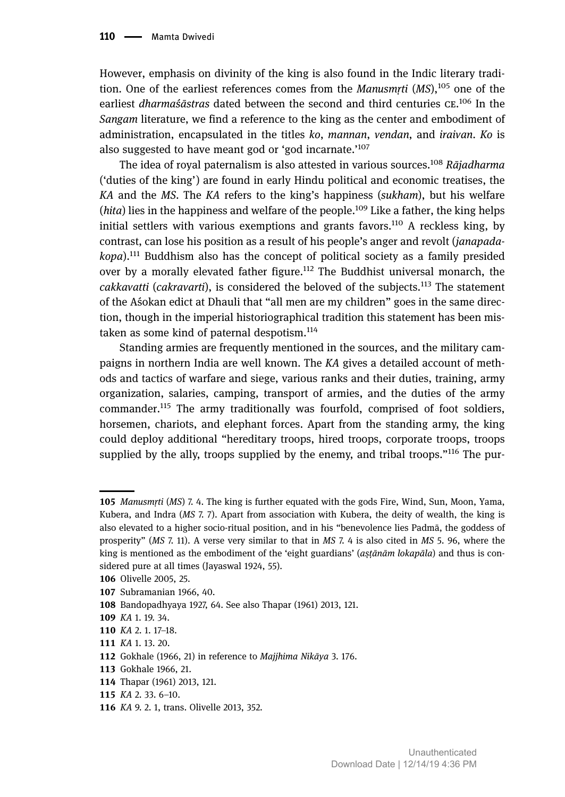However, emphasis on divinity of the king is also found in the Indic literary tradition. One of the earliest references comes from the *Manusmṛti* (*MS*),<sup>105</sup> one of the earliest *dharmaśāstras* dated between the second and third centuries CE.<sup>106</sup> In the *Sangam* literature, we find a reference to the king as the center and embodiment of administration, encapsulated in the titles *ko*, *mannan*, *vendan*, and *iraivan*. *Ko* is also suggested to have meant god or 'god incarnate.'<sup>107</sup>

The idea of royal paternalism is also attested in various sources.<sup>108</sup> *Rājadharma* ('duties of the king') are found in early Hindu political and economic treatises, the *KA* and the *MS*. The *KA* refers to the king's happiness (*sukham*), but his welfare  $(hita)$  lies in the happiness and welfare of the people.<sup>109</sup> Like a father, the king helps initial settlers with various exemptions and grants favors.<sup>110</sup> A reckless king, by contrast, can lose his position as a result of his people's anger and revolt (*janapadakopa*).<sup>111</sup> Buddhism also has the concept of political society as a family presided over by a morally elevated father figure.<sup>112</sup> The Buddhist universal monarch, the *cakkavatti* (*cakravarti*), is considered the beloved of the subjects.<sup>113</sup> The statement of the Aśokan edict at Dhauli that "all men are my children" goes in the same direction, though in the imperial historiographical tradition this statement has been mistaken as some kind of paternal despotism.<sup>114</sup>

Standing armies are frequently mentioned in the sources, and the military campaigns in northern India are well known. The *KA* gives a detailed account of methods and tactics of warfare and siege, various ranks and their duties, training, army organization, salaries, camping, transport of armies, and the duties of the army commander.<sup>115</sup> The army traditionally was fourfold, comprised of foot soldiers, horsemen, chariots, and elephant forces. Apart from the standing army, the king could deploy additional "hereditary troops, hired troops, corporate troops, troops supplied by the ally, troops supplied by the enemy, and tribal troops."<sup>116</sup> The pur-

*Manusmṛti* (*MS*) 7. 4. The king is further equated with the gods Fire, Wind, Sun, Moon, Yama, Kubera, and Indra (*MS* 7. 7). Apart from association with Kubera, the deity of wealth, the king is also elevated to a higher socio-ritual position, and in his "benevolence lies Padmā, the goddess of prosperity" (*MS* 7. 11). A verse very similar to that in *MS* 7. 4 is also cited in *MS* 5. 96, where the king is mentioned as the embodiment of the 'eight guardians' (*asṭ ānām lokapāla ̣* ) and thus is considered pure at all times (Jayaswal 1924, 55).

<sup>106</sup> Olivelle 2005, 25.

<sup>107</sup> Subramanian 1966, 40.

<sup>108</sup> Bandopadhyaya 1927, 64. See also Thapar (1961) 2013, 121.

*KA* 1. 19. 34.

*KA* 2. 1. 17–18.

*KA* 1. 13. 20.

Gokhale (1966, 21) in reference to *Majjhima Nikāya* 3. 176.

<sup>113</sup> Gokhale 1966, 21.

<sup>114</sup> Thapar (1961) 2013, 121.

*KA* 2. 33. 6–10.

*KA* 9. 2. 1, trans. Olivelle 2013, 352.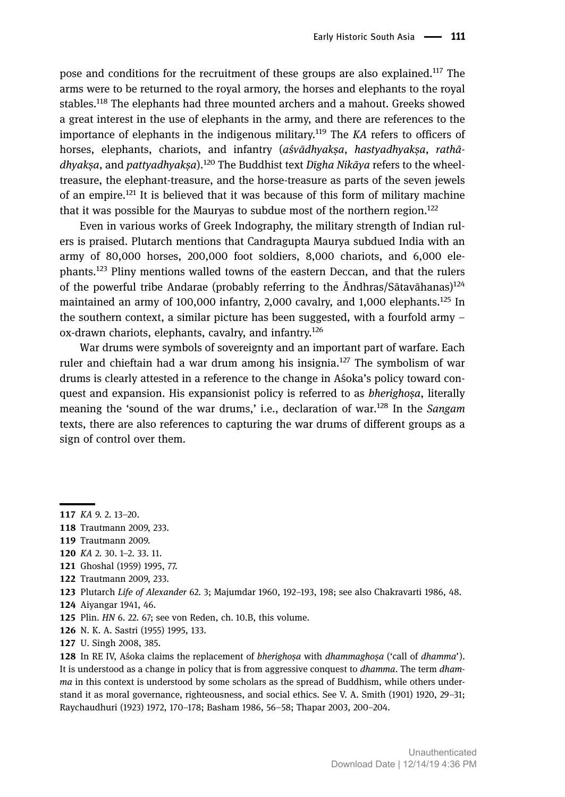pose and conditions for the recruitment of these groups are also explained.<sup>117</sup> The arms were to be returned to the royal armory, the horses and elephants to the royal stables.<sup>118</sup> The elephants had three mounted archers and a mahout. Greeks showed a great interest in the use of elephants in the army, and there are references to the importance of elephants in the indigenous military.<sup>119</sup> The *KA* refers to officers of horses, elephants, chariots, and infantry (*aśvādhyakṣa*, *hastyadhyakṣa*, *rathādhyakṣa*, and *pattyadhyakṣa*).<sup>120</sup> The Buddhist text *Dīgha Nikāya* refers to the wheeltreasure, the elephant-treasure, and the horse-treasure as parts of the seven jewels of an empire.<sup>121</sup> It is believed that it was because of this form of military machine that it was possible for the Mauryas to subdue most of the northern region.<sup>122</sup>

Even in various works of Greek Indography, the military strength of Indian rulers is praised. Plutarch mentions that Candragupta Maurya subdued India with an army of 80,000 horses, 200,000 foot soldiers, 8,000 chariots, and 6,000 elephants.<sup>123</sup> Pliny mentions walled towns of the eastern Deccan, and that the rulers of the powerful tribe Andarae (probably referring to the Āndhras/Sātavāhanas)<sup>124</sup> maintained an army of 100,000 infantry, 2,000 cavalry, and 1,000 elephants.<sup>125</sup> In the southern context, a similar picture has been suggested, with a fourfold army – ox-drawn chariots, elephants, cavalry, and infantry.<sup>126</sup>

War drums were symbols of sovereignty and an important part of warfare. Each ruler and chieftain had a war drum among his insignia.<sup>127</sup> The symbolism of war drums is clearly attested in a reference to the change in Aśoka's policy toward conquest and expansion. His expansionist policy is referred to as *bherighoṣa*, literally meaning the 'sound of the war drums,' i.e., declaration of war.<sup>128</sup> In the *Sangam* texts, there are also references to capturing the war drums of different groups as a sign of control over them.

N. K. A. Sastri (1955) 1995, 133.

*KA* 9. 2. 13–20.

<sup>118</sup> Trautmann 2009, 233.

<sup>119</sup> Trautmann 2009.

*KA* 2. 30. 1–2. 33. 11.

Ghoshal (1959) 1995, 77.

<sup>122</sup> Trautmann 2009, 233.

Plutarch *Life of Alexander* 62. 3; Majumdar 1960, 192–193, 198; see also Chakravarti 1986, 48.

Aiyangar 1941, 46.

Plin. *HN* 6. 22. 67; see von Reden, ch. 10.B, this volume.

<sup>127</sup> U. Singh 2008, 385.

In RE IV, Aśoka claims the replacement of *bherighoṣa* with *dhammaghoṣa* ('call of *dhamma*'). It is understood as a change in policy that is from aggressive conquest to *dhamma*. The term *dhamma* in this context is understood by some scholars as the spread of Buddhism, while others understand it as moral governance, righteousness, and social ethics. See V. A. Smith (1901) 1920, 29–31; Raychaudhuri (1923) 1972, 170–178; Basham 1986, 56–58; Thapar 2003, 200–204.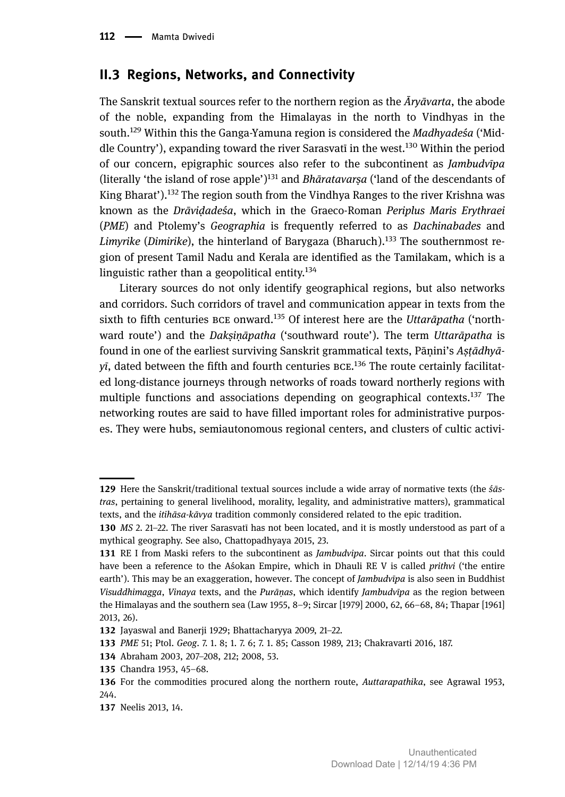### **II. Regions, Networks, and Connectivity**

The Sanskrit textual sources refer to the northern region as the *Āryāvarta*, the abode of the noble, expanding from the Himalayas in the north to Vindhyas in the south.<sup>129</sup> Within this the Ganga-Yamuna region is considered the *Madhyadeśa* ('Middle Country'), expanding toward the river Sarasvati in the west.<sup>130</sup> Within the period of our concern, epigraphic sources also refer to the subcontinent as *Jambudvīpa* (literally 'the island of rose apple') <sup>131</sup> and *Bhāratavarṣa* ('land of the descendants of King Bharat').<sup>132</sup> The region south from the Vindhya Ranges to the river Krishna was known as the *Drāviḍadeśa*, which in the Graeco-Roman *Periplus Maris Erythraei* (*PME*) and Ptolemy's *Geographia* is frequently referred to as *Dachinabades* and *Limyrike* (*Dimirike*), the hinterland of Barygaza (Bharuch).<sup>133</sup> The southernmost region of present Tamil Nadu and Kerala are identified as the Tamilakam, which is a linguistic rather than a geopolitical entity. $134$ 

Literary sources do not only identify geographical regions, but also networks and corridors. Such corridors of travel and communication appear in texts from the sixth to fifth centuries BCE onward.<sup>135</sup> Of interest here are the *Uttarāpatha* ('northward route') and the *Dakṣiṇāpatha* ('southward route'). The term *Uttarāpatha* is found in one of the earliest surviving Sanskrit grammatical texts, Pāṇini's *Aṣṭādhyā*yī, dated between the fifth and fourth centuries BCE.<sup>136</sup> The route certainly facilitated long-distance journeys through networks of roads toward northerly regions with multiple functions and associations depending on geographical contexts.<sup>137</sup> The networking routes are said to have filled important roles for administrative purposes. They were hubs, semiautonomous regional centers, and clusters of cultic activi-

Here the Sanskrit/traditional textual sources include a wide array of normative texts (the *śāstras*, pertaining to general livelihood, morality, legality, and administrative matters), grammatical texts, and the *itihāsa-kāvya* tradition commonly considered related to the epic tradition.

*MS* 2. 21–22. The river Sarasvatī has not been located, and it is mostly understood as part of a mythical geography. See also, Chattopadhyaya 2015, 23.

<sup>131</sup> RE I from Maski refers to the subcontinent as *Jambudvipa*. Sircar points out that this could have been a reference to the Aśokan Empire, which in Dhauli RE V is called *prithvi* ('the entire earth'). This may be an exaggeration, however. The concept of *Jambudvīpa* is also seen in Buddhist *Visuddhimagga*, *Vinaya* texts, and the *Purāṇas*, which identify *Jambudvīpa* as the region between the Himalayas and the southern sea (Law 1955, 8–9; Sircar [1979] 2000, 62, 66–68, 84; Thapar [1961] 2013, 26).

<sup>132</sup> Jayaswal and Banerji 1929; Bhattacharyya 2009, 21-22.

*PME* 51; Ptol. *Geog*. 7. 1. 8; 1. 7. 6; 7. 1. 85; Casson 1989, 213; Chakravarti 2016, 187.

Abraham 2003, 207–208, 212; 2008, 53.

<sup>135</sup> Chandra 1953, 45-68.

For the commodities procured along the northern route, *Auttarapathika*, see Agrawal 1953, 244.

<sup>137</sup> Neelis 2013, 14.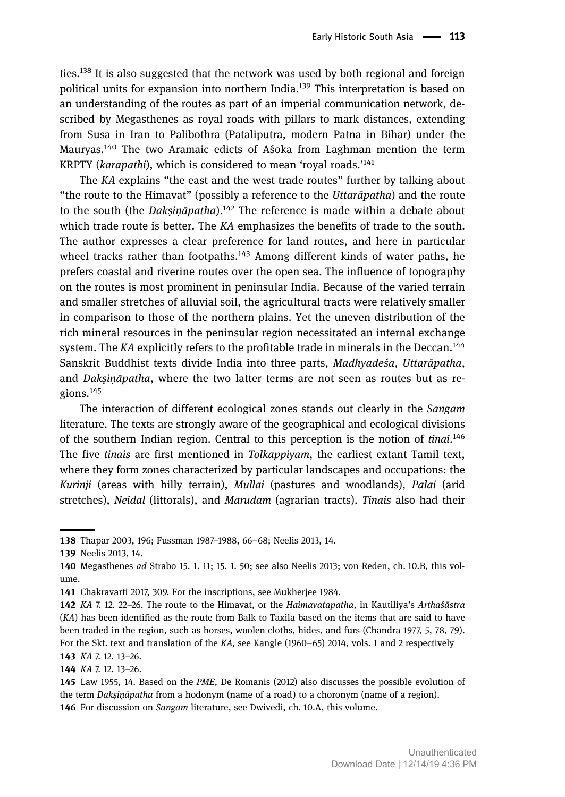ties.<sup>138</sup> It is also suggested that the network was used by both regional and foreign political units for expansion into northern India.<sup>139</sup> This interpretation is based on an understanding of the routes as part of an imperial communication network, described by Megasthenes as royal roads with pillars to mark distances, extending from Susa in Iran to Palibothra (Pataliputra, modern Patna in Bihar) under the Mauryas.<sup>140</sup> The two Aramaic edicts of Aśoka from Laghman mention the term KRPTY (*karapathi*), which is considered to mean 'royal roads.' 141

The *KA* explains "the east and the west trade routes" further by talking about "the route to the Himavat" (possibly a reference to the *Uttarāpatha*) and the route to the south (the *Dakṣiṇāpatha*).<sup>142</sup> The reference is made within a debate about which trade route is better. The *KA* emphasizes the benefits of trade to the south. The author expresses a clear preference for land routes, and here in particular wheel tracks rather than footpaths.<sup>143</sup> Among different kinds of water paths, he prefers coastal and riverine routes over the open sea. The influence of topography on the routes is most prominent in peninsular India. Because of the varied terrain and smaller stretches of alluvial soil, the agricultural tracts were relatively smaller in comparison to those of the northern plains. Yet the uneven distribution of the rich mineral resources in the peninsular region necessitated an internal exchange system. The *KA* explicitly refers to the profitable trade in minerals in the Deccan.<sup>144</sup> Sanskrit Buddhist texts divide India into three parts, *Madhyadeśa*, *Uttarāpatha*, and *Dakṣiṇāpatha*, where the two latter terms are not seen as routes but as regions.<sup>145</sup>

The interaction of different ecological zones stands out clearly in the *Sangam* literature. The texts are strongly aware of the geographical and ecological divisions of the southern Indian region. Central to this perception is the notion of *tinai*. 146 The five *tinais* are first mentioned in *Tolkappiyam*, the earliest extant Tamil text, where they form zones characterized by particular landscapes and occupations: the *Kurinji* (areas with hilly terrain), *Mullai* (pastures and woodlands), *Palai* (arid stretches), *Neidal* (littorals), and *Marudam* (agrarian tracts). *Tinais* also had their

Thapar 2003, 196; Fussman 1987–1988, 66–68; Neelis 2013, 14.

<sup>139</sup> Neelis 2013, 14.

Megasthenes *ad* Strabo 15. 1. 11; 15. 1. 50; see also Neelis 2013; von Reden, ch. 10.B, this volume.

<sup>141</sup> Chakravarti 2017, 309. For the inscriptions, see Mukherjee 1984.

*KA* 7. 12. 22–26. The route to the Himavat, or the *Haimavatapatha*, in Kautiliya's *Arthaśāstra* (*KA*) has been identified as the route from Balk to Taxila based on the items that are said to have been traded in the region, such as horses, woolen cloths, hides, and furs (Chandra 1977, 5, 78, 79). For the Skt. text and translation of the *KA,* see Kangle (1960–65) 2014, vols. 1 and 2 respectively *KA* 7. 12. 13–26.

*KA* 7. 12. 13–26.

Law 1955, 14. Based on the *PME*, De Romanis (2012) also discusses the possible evolution of the term *Dakṣiṇāpatha* from a hodonym (name of a road) to a choronym (name of a region). 146 For discussion on *Sangam* literature, see Dwivedi, ch. 10.A, this volume.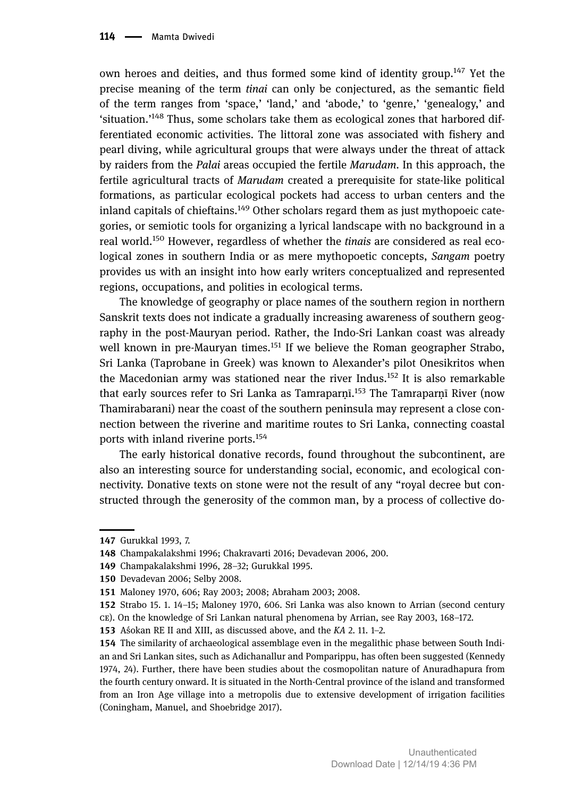own heroes and deities, and thus formed some kind of identity group.<sup>147</sup> Yet the precise meaning of the term *tinai* can only be conjectured, as the semantic field of the term ranges from 'space,' 'land,' and 'abode,' to 'genre,' 'genealogy,' and 'situation.'<sup>148</sup> Thus, some scholars take them as ecological zones that harbored differentiated economic activities. The littoral zone was associated with fishery and pearl diving, while agricultural groups that were always under the threat of attack by raiders from the *Palai* areas occupied the fertile *Marudam*. In this approach, the fertile agricultural tracts of *Marudam* created a prerequisite for state-like political formations, as particular ecological pockets had access to urban centers and the inland capitals of chieftains.<sup>149</sup> Other scholars regard them as just mythopoeic categories, or semiotic tools for organizing a lyrical landscape with no background in a real world.<sup>150</sup> However, regardless of whether the *tinais* are considered as real ecological zones in southern India or as mere mythopoetic concepts, *Sangam* poetry provides us with an insight into how early writers conceptualized and represented regions, occupations, and polities in ecological terms.

The knowledge of geography or place names of the southern region in northern Sanskrit texts does not indicate a gradually increasing awareness of southern geography in the post-Mauryan period. Rather, the Indo-Sri Lankan coast was already well known in pre-Mauryan times.<sup>151</sup> If we believe the Roman geographer Strabo, Sri Lanka (Taprobane in Greek) was known to Alexander's pilot Onesikritos when the Macedonian army was stationed near the river Indus.<sup>152</sup> It is also remarkable that early sources refer to Sri Lanka as Tamraparṇī.<sup>153</sup> The Tamraparṇī River (now Thamirabarani) near the coast of the southern peninsula may represent a close connection between the riverine and maritime routes to Sri Lanka, connecting coastal ports with inland riverine ports.<sup>154</sup>

The early historical donative records, found throughout the subcontinent, are also an interesting source for understanding social, economic, and ecological connectivity. Donative texts on stone were not the result of any "royal decree but constructed through the generosity of the common man, by a process of collective do-

<sup>147</sup> Gurukkal 1993, 7.

Champakalakshmi 1996; Chakravarti 2016; Devadevan 2006, 200.

Champakalakshmi 1996, 28–32; Gurukkal 1995.

<sup>150</sup> Devadevan 2006; Selby 2008.

Maloney 1970, 606; Ray 2003; 2008; Abraham 2003; 2008.

<sup>152</sup> Strabo 15. 1. 14–15; Maloney 1970, 606. Sri Lanka was also known to Arrian (second century ). On the knowledge of Sri Lankan natural phenomena by Arrian, see Ray 2003, 168–172.

Aśokan RE II and XIII, as discussed above, and the *KA* 2. 11. 1–2.

<sup>154</sup> The similarity of archaeological assemblage even in the megalithic phase between South Indian and Sri Lankan sites, such as Adichanallur and Pomparippu, has often been suggested (Kennedy 1974, 24). Further, there have been studies about the cosmopolitan nature of Anuradhapura from the fourth century onward. It is situated in the North-Central province of the island and transformed from an Iron Age village into a metropolis due to extensive development of irrigation facilities (Coningham, Manuel, and Shoebridge 2017).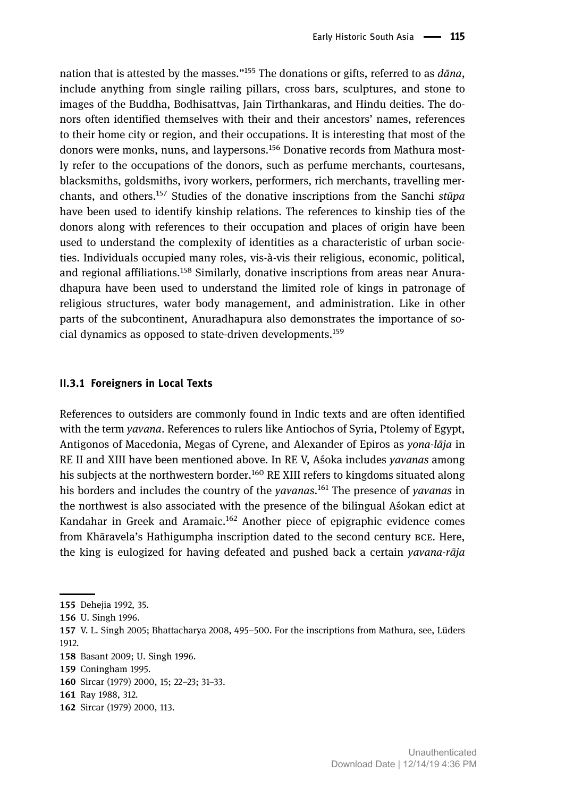nation that is attested by the masses." <sup>155</sup> The donations or gifts, referred to as *dāna*, include anything from single railing pillars, cross bars, sculptures, and stone to images of the Buddha, Bodhisattvas, Jain Tīrthankaras, and Hindu deities. The donors often identified themselves with their and their ancestors' names, references to their home city or region, and their occupations. It is interesting that most of the donors were monks, nuns, and laypersons.<sup>156</sup> Donative records from Mathura mostly refer to the occupations of the donors, such as perfume merchants, courtesans, blacksmiths, goldsmiths, ivory workers, performers, rich merchants, travelling merchants, and others.<sup>157</sup> Studies of the donative inscriptions from the Sanchi *stūpa* have been used to identify kinship relations. The references to kinship ties of the donors along with references to their occupation and places of origin have been used to understand the complexity of identities as a characteristic of urban societies. Individuals occupied many roles, vis-à-vis their religious, economic, political, and regional affiliations.<sup>158</sup> Similarly, donative inscriptions from areas near Anuradhapura have been used to understand the limited role of kings in patronage of religious structures, water body management, and administration. Like in other parts of the subcontinent, Anuradhapura also demonstrates the importance of social dynamics as opposed to state-driven developments.<sup>159</sup>

#### **II.. Foreigners in Local Texts**

References to outsiders are commonly found in Indic texts and are often identified with the term *yavana*. References to rulers like Antiochos of Syria, Ptolemy of Egypt, Antigonos of Macedonia, Megas of Cyrene, and Alexander of Epiros as *yona-lāja* in RE II and XIII have been mentioned above. In RE V, Aśoka includes *yavanas* among his subjects at the northwestern border.<sup>160</sup> RE XIII refers to kingdoms situated along his borders and includes the country of the *yavanas*. <sup>161</sup> The presence of *yavanas* in the northwest is also associated with the presence of the bilingual Aśokan edict at Kandahar in Greek and Aramaic.<sup>162</sup> Another piece of epigraphic evidence comes from Khāravela's Hathigumpha inscription dated to the second century BCE. Here, the king is eulogized for having defeated and pushed back a certain *yavana-rāja*

<sup>155</sup> Dehejia 1992, 35.

<sup>156</sup> U. Singh 1996.

V. L. Singh 2005; Bhattacharya 2008, 495–500. For the inscriptions from Mathura, see, Lüders 1912.

<sup>158</sup> Basant 2009; U. Singh 1996.

<sup>159</sup> Coningham 1995.

Sircar (1979) 2000, 15; 22–23; 31–33.

<sup>161</sup> Ray 1988, 312.

<sup>162</sup> Sircar (1979) 2000, 113.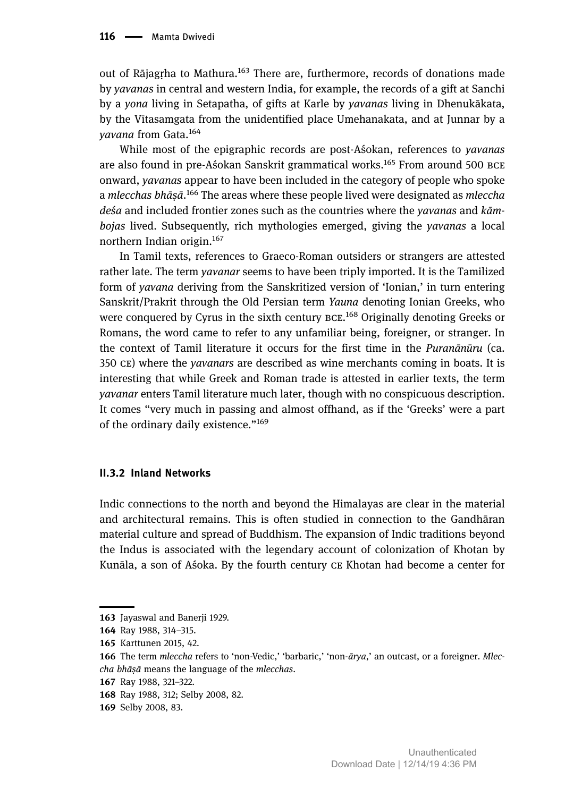out of Rājagrha to Mathura.<sup>163</sup> There are, furthermore, records of donations made by *yavanas* in central and western India, for example, the records of a gift at Sanchi by a *yona* living in Setapatha, of gifts at Karle by *yavanas* living in Dhenukākata, by the Vītasamgata from the unidentified place Umehanakata, and at Junnar by a *yavana* from Gata.<sup>164</sup>

While most of the epigraphic records are post-Aśokan, references to *yavanas* are also found in pre-Aśokan Sanskrit grammatical works.<sup>165</sup> From around 500 BCE onward, *yavanas* appear to have been included in the category of people who spoke a *mlecchas bhāṣā*. <sup>166</sup> The areas where these people lived were designated as *mleccha deśa* and included frontier zones such as the countries where the *yavanas* and *kāmbojas* lived. Subsequently, rich mythologies emerged, giving the *yavanas* a local northern Indian origin.<sup>167</sup>

In Tamil texts, references to Graeco-Roman outsiders or strangers are attested rather late. The term *yavanar* seems to have been triply imported. It is the Tamilized form of *yavana* deriving from the Sanskritized version of 'Ionian,' in turn entering Sanskrit/Prakrit through the Old Persian term *Yauna* denoting Ionian Greeks, who were conquered by Cyrus in the sixth century BCE.<sup>168</sup> Originally denoting Greeks or Romans, the word came to refer to any unfamiliar being, foreigner, or stranger. In the context of Tamil literature it occurs for the first time in the *Puranānūru* (ca. 350 ) where the *yavanars* are described as wine merchants coming in boats. It is interesting that while Greek and Roman trade is attested in earlier texts, the term *yavanar* enters Tamil literature much later, though with no conspicuous description. It comes "very much in passing and almost offhand, as if the 'Greeks' were a part of the ordinary daily existence."<sup>169</sup>

### **II.. Inland Networks**

Indic connections to the north and beyond the Himalayas are clear in the material and architectural remains. This is often studied in connection to the Gandhāran material culture and spread of Buddhism. The expansion of Indic traditions beyond the Indus is associated with the legendary account of colonization of Khotan by Kunāla, a son of Aśoka. By the fourth century CE Khotan had become a center for

<sup>163</sup> Jayaswal and Banerji 1929.

<sup>164</sup> Ray 1988, 314-315.

<sup>165</sup> Karttunen 2015, 42.

The term *mleccha* refers to 'non-Vedic,' 'barbaric,' 'non-*ārya*,' an outcast, or a foreigner. *Mleccha bhāṣā* means the language of the *mlecchas*.

<sup>167</sup> Ray 1988, 321-322.

<sup>168</sup> Ray 1988, 312; Selby 2008, 82.

<sup>169</sup> Selby 2008, 83.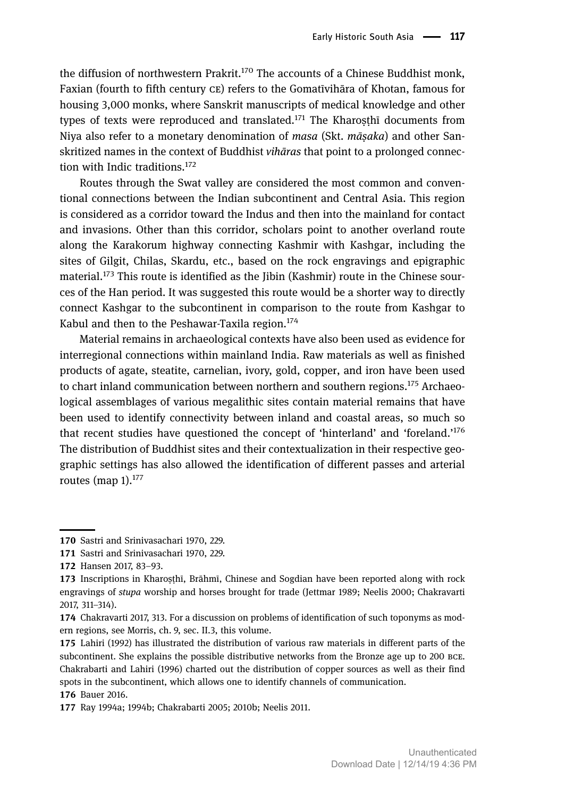the diffusion of northwestern Prakrit.<sup>170</sup> The accounts of a Chinese Buddhist monk, Faxian (fourth to fifth century CE) refers to the Gomatīvihāra of Khotan, famous for housing 3,000 monks, where Sanskrit manuscripts of medical knowledge and other types of texts were reproduced and translated.<sup>171</sup> The Kharosthī documents from Niya also refer to a monetary denomination of *masa* (Skt. *māṣaka*) and other Sanskritized names in the context of Buddhist *vihāras* that point to a prolonged connection with Indic traditions.<sup>172</sup>

Routes through the Swat valley are considered the most common and conventional connections between the Indian subcontinent and Central Asia. This region is considered as a corridor toward the Indus and then into the mainland for contact and invasions. Other than this corridor, scholars point to another overland route along the Karakorum highway connecting Kashmir with Kashgar, including the sites of Gilgit, Chilas, Skardu, etc., based on the rock engravings and epigraphic material.<sup>173</sup> This route is identified as the Jibin (Kashmir) route in the Chinese sources of the Han period. It was suggested this route would be a shorter way to directly connect Kashgar to the subcontinent in comparison to the route from Kashgar to Kabul and then to the Peshawar-Taxila region.<sup>174</sup>

Material remains in archaeological contexts have also been used as evidence for interregional connections within mainland India. Raw materials as well as finished products of agate, steatite, carnelian, ivory, gold, copper, and iron have been used to chart inland communication between northern and southern regions.<sup>175</sup> Archaeological assemblages of various megalithic sites contain material remains that have been used to identify connectivity between inland and coastal areas, so much so that recent studies have questioned the concept of 'hinterland' and 'foreland.' 176 The distribution of Buddhist sites and their contextualization in their respective geographic settings has also allowed the identification of different passes and arterial routes (map  $1$ ).<sup>177</sup>

<sup>170</sup> Sastri and Srinivasachari 1970, 229.

<sup>171</sup> Sastri and Srinivasachari 1970, 229.

<sup>172</sup> Hansen 2017, 83-93.

<sup>173</sup> Inscriptions in Kharosthī, Brāhmī, Chinese and Sogdian have been reported along with rock engravings of *stupa* worship and horses brought for trade (Jettmar 1989; Neelis 2000; Chakravarti 2017, 311–314).

<sup>174</sup> Chakravarti 2017, 313. For a discussion on problems of identification of such toponyms as modern regions, see Morris, ch. 9, sec. II.3, this volume.

<sup>175</sup> Lahiri (1992) has illustrated the distribution of various raw materials in different parts of the subcontinent. She explains the possible distributive networks from the Bronze age up to 200 BCE. Chakrabarti and Lahiri (1996) charted out the distribution of copper sources as well as their find spots in the subcontinent, which allows one to identify channels of communication. 176 Bauer 2016.

<sup>177</sup> Ray 1994a; 1994b; Chakrabarti 2005; 2010b; Neelis 2011.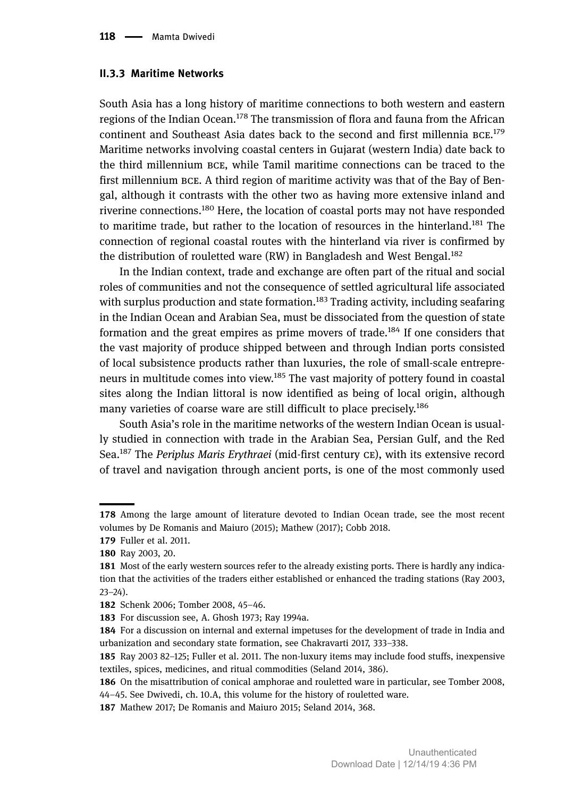#### **II.. Maritime Networks**

South Asia has a long history of maritime connections to both western and eastern regions of the Indian Ocean.<sup>178</sup> The transmission of flora and fauna from the African continent and Southeast Asia dates back to the second and first millennia BCE.<sup>179</sup> Maritime networks involving coastal centers in Gujarat (western India) date back to the third millennium BCE, while Tamil maritime connections can be traced to the first millennium BCE. A third region of maritime activity was that of the Bay of Bengal, although it contrasts with the other two as having more extensive inland and riverine connections.<sup>180</sup> Here, the location of coastal ports may not have responded to maritime trade, but rather to the location of resources in the hinterland.<sup>181</sup> The connection of regional coastal routes with the hinterland via river is confirmed by the distribution of rouletted ware  $(RW)$  in Bangladesh and West Bengal.<sup>182</sup>

In the Indian context, trade and exchange are often part of the ritual and social roles of communities and not the consequence of settled agricultural life associated with surplus production and state formation.<sup>183</sup> Trading activity, including seafaring in the Indian Ocean and Arabian Sea, must be dissociated from the question of state formation and the great empires as prime movers of trade.<sup>184</sup> If one considers that the vast majority of produce shipped between and through Indian ports consisted of local subsistence products rather than luxuries, the role of small-scale entrepreneurs in multitude comes into view.<sup>185</sup> The vast majority of pottery found in coastal sites along the Indian littoral is now identified as being of local origin, although many varieties of coarse ware are still difficult to place precisely.<sup>186</sup>

South Asia's role in the maritime networks of the western Indian Ocean is usually studied in connection with trade in the Arabian Sea, Persian Gulf, and the Red Sea.<sup>187</sup> The *Periplus Maris Erythraei* (mid-first century CE), with its extensive record of travel and navigation through ancient ports, is one of the most commonly used

<sup>178</sup> Among the large amount of literature devoted to Indian Ocean trade, see the most recent volumes by De Romanis and Maiuro (2015); Mathew (2017); Cobb 2018.

<sup>179</sup> Fuller et al. 2011.

<sup>180</sup> Ray 2003, 20.

<sup>181</sup> Most of the early western sources refer to the already existing ports. There is hardly any indication that the activities of the traders either established or enhanced the trading stations (Ray 2003, 23–24).

<sup>182</sup> Schenk 2006; Tomber 2008, 45-46.

<sup>183</sup> For discussion see, A. Ghosh 1973; Ray 1994a.

<sup>184</sup> For a discussion on internal and external impetuses for the development of trade in India and urbanization and secondary state formation, see Chakravarti 2017, 333–338.

<sup>185</sup> Ray 2003 82–125; Fuller et al. 2011. The non-luxury items may include food stuffs, inexpensive textiles, spices, medicines, and ritual commodities (Seland 2014, 386).

<sup>186</sup> On the misattribution of conical amphorae and rouletted ware in particular, see Tomber 2008, 44–45. See Dwivedi, ch. 10.A, this volume for the history of rouletted ware.

<sup>187</sup> Mathew 2017; De Romanis and Maiuro 2015; Seland 2014, 368.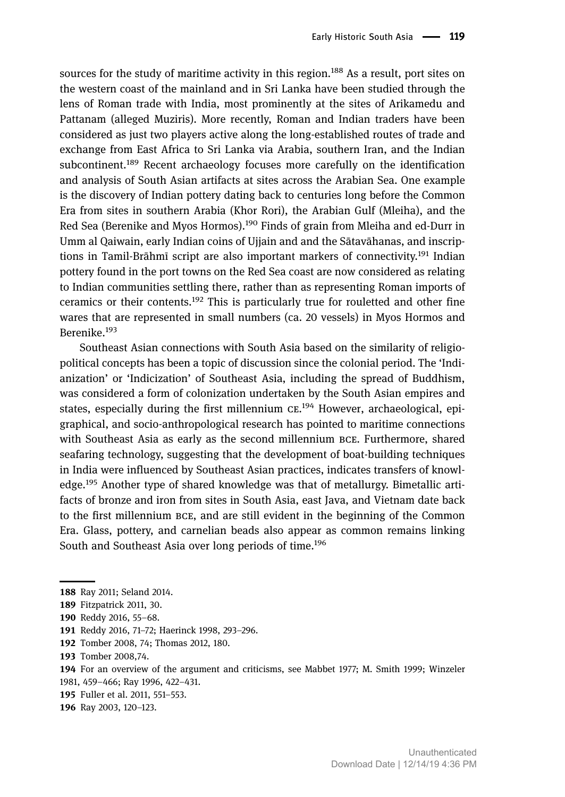sources for the study of maritime activity in this region.<sup>188</sup> As a result, port sites on the western coast of the mainland and in Sri Lanka have been studied through the lens of Roman trade with India, most prominently at the sites of Arikamedu and Pattanam (alleged Muziris). More recently, Roman and Indian traders have been considered as just two players active along the long-established routes of trade and exchange from East Africa to Sri Lanka via Arabia, southern Iran, and the Indian subcontinent.<sup>189</sup> Recent archaeology focuses more carefully on the identification and analysis of South Asian artifacts at sites across the Arabian Sea. One example is the discovery of Indian pottery dating back to centuries long before the Common Era from sites in southern Arabia (Khor Rori), the Arabian Gulf (Mleiha), and the Red Sea (Berenike and Myos Hormos).<sup>190</sup> Finds of grain from Mleiha and ed-Durr in Umm al Qaiwain, early Indian coins of Ujjain and and the Sātavāhanas, and inscriptions in Tamil-Brāhmī script are also important markers of connectivity.<sup>191</sup> Indian pottery found in the port towns on the Red Sea coast are now considered as relating to Indian communities settling there, rather than as representing Roman imports of ceramics or their contents.<sup>192</sup> This is particularly true for rouletted and other fine wares that are represented in small numbers (ca. 20 vessels) in Myos Hormos and Berenike.<sup>193</sup>

Southeast Asian connections with South Asia based on the similarity of religiopolitical concepts has been a topic of discussion since the colonial period. The 'Indianization' or 'Indicization' of Southeast Asia, including the spread of Buddhism, was considered a form of colonization undertaken by the South Asian empires and states, especially during the first millennium CE.<sup>194</sup> However, archaeological, epigraphical, and socio-anthropological research has pointed to maritime connections with Southeast Asia as early as the second millennium BCE. Furthermore, shared seafaring technology, suggesting that the development of boat-building techniques in India were influenced by Southeast Asian practices, indicates transfers of knowledge.<sup>195</sup> Another type of shared knowledge was that of metallurgy. Bimetallic artifacts of bronze and iron from sites in South Asia, east Java, and Vietnam date back to the first millennium BCE, and are still evident in the beginning of the Common Era. Glass, pottery, and carnelian beads also appear as common remains linking South and Southeast Asia over long periods of time.<sup>196</sup>

<sup>188</sup> Ray 2011; Seland 2014.

<sup>189</sup> Fitzpatrick 2011, 30.

<sup>190</sup> Reddy 2016, 55-68.

<sup>191</sup> Reddy 2016, 71-72; Haerinck 1998, 293-296.

<sup>192</sup> Tomber 2008, 74; Thomas 2012, 180.

<sup>193</sup> Tomber 2008,74.

For an overview of the argument and criticisms, see Mabbet 1977; M. Smith 1999; Winzeler

<sup>1981, 459</sup>–466; Ray 1996, 422–431.

<sup>195</sup> Fuller et al. 2011, 551-553.

<sup>196</sup> Ray 2003, 120-123.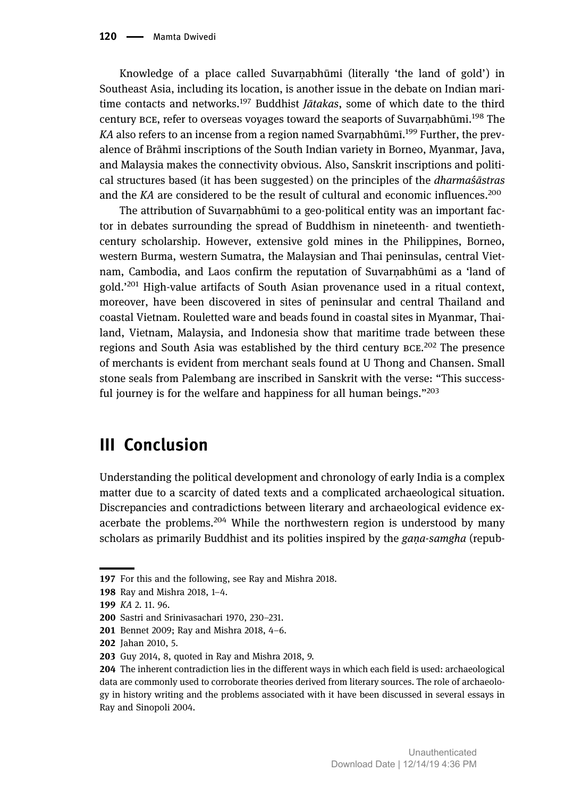Knowledge of a place called Suvarṇabhūmi (literally 'the land of gold') in Southeast Asia, including its location, is another issue in the debate on Indian maritime contacts and networks.<sup>197</sup> Buddhist *Jātakas*, some of which date to the third century BCE, refer to overseas voyages toward the seaports of Suvarnabhūmi.<sup>198</sup> The KA also refers to an incense from a region named Svarṇabhūmī.<sup>199</sup> Further, the prevalence of Brāhmī inscriptions of the South Indian variety in Borneo, Myanmar, Java, and Malaysia makes the connectivity obvious. Also, Sanskrit inscriptions and political structures based (it has been suggested) on the principles of the *dharmaśāstras* and the *KA* are considered to be the result of cultural and economic influences.<sup>200</sup>

The attribution of Suvarnabhūmi to a geo-political entity was an important factor in debates surrounding the spread of Buddhism in nineteenth- and twentiethcentury scholarship. However, extensive gold mines in the Philippines, Borneo, western Burma, western Sumatra, the Malaysian and Thai peninsulas, central Vietnam, Cambodia, and Laos confirm the reputation of Suvarṇabhūmi as a 'land of gold.' <sup>201</sup> High-value artifacts of South Asian provenance used in a ritual context, moreover, have been discovered in sites of peninsular and central Thailand and coastal Vietnam. Rouletted ware and beads found in coastal sites in Myanmar, Thailand, Vietnam, Malaysia, and Indonesia show that maritime trade between these regions and South Asia was established by the third century BCE.<sup>202</sup> The presence of merchants is evident from merchant seals found at U Thong and Chansen. Small stone seals from Palembang are inscribed in Sanskrit with the verse: "This successful journey is for the welfare and happiness for all human beings."<sup>203</sup>

# **III Conclusion**

Understanding the political development and chronology of early India is a complex matter due to a scarcity of dated texts and a complicated archaeological situation. Discrepancies and contradictions between literary and archaeological evidence exacerbate the problems.<sup>204</sup> While the northwestern region is understood by many scholars as primarily Buddhist and its polities inspired by the *gaṇa-samgha* (repub-

<sup>197</sup> For this and the following, see Ray and Mishra 2018.

<sup>198</sup> Ray and Mishra 2018, 1-4.

*KA* 2. 11. 96.

<sup>200</sup> Sastri and Srinivasachari 1970, 230-231.

<sup>201</sup> Bennet 2009; Ray and Mishra 2018, 4-6.

<sup>202</sup> Jahan 2010, 5.

<sup>203</sup> Guy 2014, 8, quoted in Ray and Mishra 2018, 9.

<sup>204</sup> The inherent contradiction lies in the different ways in which each field is used: archaeological data are commonly used to corroborate theories derived from literary sources. The role of archaeology in history writing and the problems associated with it have been discussed in several essays in Ray and Sinopoli 2004.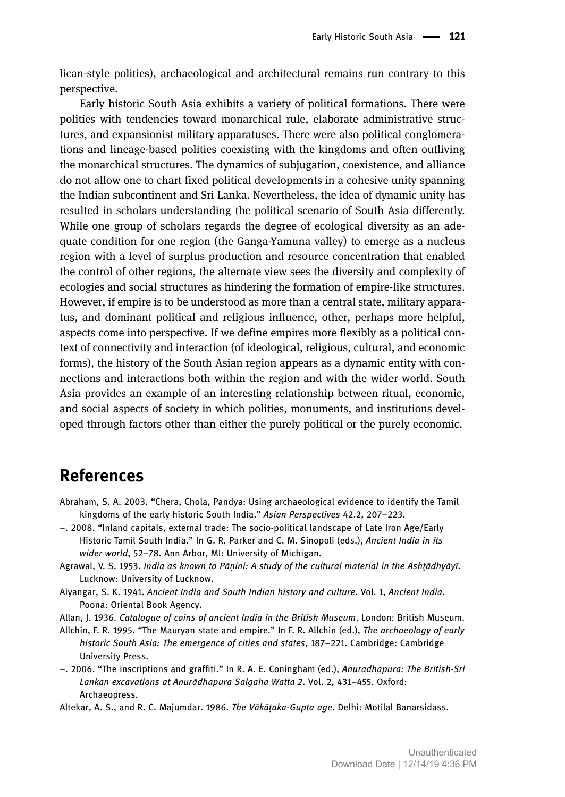lican-style polities), archaeological and architectural remains run contrary to this perspective.

Early historic South Asia exhibits a variety of political formations. There were polities with tendencies toward monarchical rule, elaborate administrative structures, and expansionist military apparatuses. There were also political conglomerations and lineage-based polities coexisting with the kingdoms and often outliving the monarchical structures. The dynamics of subjugation, coexistence, and alliance do not allow one to chart fixed political developments in a cohesive unity spanning the Indian subcontinent and Sri Lanka. Nevertheless, the idea of dynamic unity has resulted in scholars understanding the political scenario of South Asia differently. While one group of scholars regards the degree of ecological diversity as an adequate condition for one region (the Ganga-Yamuna valley) to emerge as a nucleus region with a level of surplus production and resource concentration that enabled the control of other regions, the alternate view sees the diversity and complexity of ecologies and social structures as hindering the formation of empire-like structures. However, if empire is to be understood as more than a central state, military apparatus, and dominant political and religious influence, other, perhaps more helpful, aspects come into perspective. If we define empires more flexibly as a political context of connectivity and interaction (of ideological, religious, cultural, and economic forms), the history of the South Asian region appears as a dynamic entity with connections and interactions both within the region and with the wider world. South Asia provides an example of an interesting relationship between ritual, economic, and social aspects of society in which polities, monuments, and institutions developed through factors other than either the purely political or the purely economic.

# **References**

- Abraham, S. A. 2003. "Chera, Chola, Pandya: Using archaeological evidence to identify the Tamil kingdoms of the early historic South India." *Asian Perspectives* 42.2, 207–223.
- –. 2008. "Inland capitals, external trade: The socio-political landscape of Late Iron Age/Early Historic Tamil South India." In G. R. Parker and C. M. Sinopoli (eds.), *Ancient India in its wider world*, 52–78. Ann Arbor, MI: University of Michigan.
- Agrawal, V. S. 1953. *India as known to Pāṇini: A study of the cultural material in the Ashṭādhyāyī*. Lucknow: University of Lucknow.
- Aiyangar, S. K. 1941. *Ancient India and South Indian history and culture*. Vol. 1, *Ancient India*. Poona: Oriental Book Agency.
- Allan, J. 1936. *Catalogue of coins of ancient India in the British Museum*. London: British Museum.
- Allchin, F. R. 1995. "The Mauryan state and empire." In F. R. Allchin (ed.), *The archaeology of early historic South Asia: The emergence of cities and states*, 187–221. Cambridge: Cambridge University Press.
- –. 2006. "The inscriptions and graffiti." In R. A. E. Coningham (ed.), *Anuradhapura: The British-Sri Lankan excavations at Anurādhapura Salgaha Watta 2*. Vol. 2, 431–455. Oxford: Archaeopress.

Altekar, A. S., and R. C. Majumdar. 1986. *The Vākāṭaka-Gupta age*. Delhi: Motilal Banarsidass.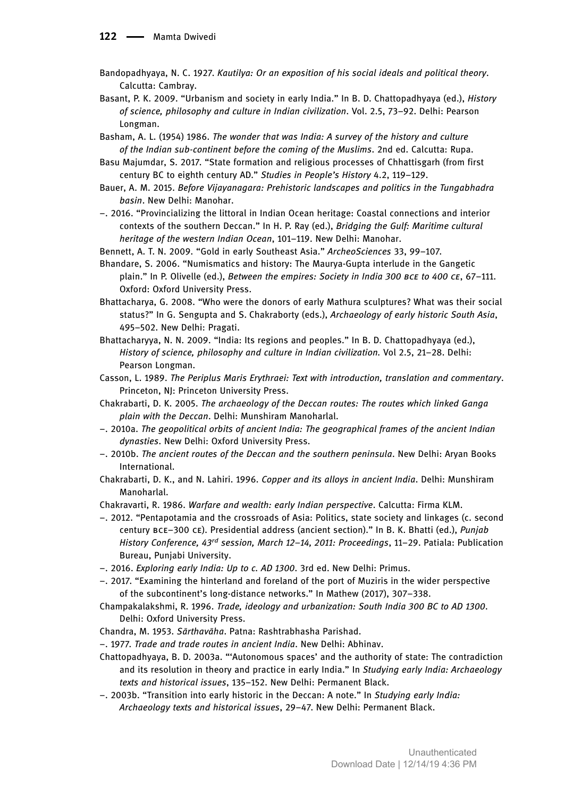- Bandopadhyaya, N. C. 1927. *Kautilya: Or an exposition of his social ideals and political theory*. Calcutta: Cambray.
- Basant, P. K. 2009. "Urbanism and society in early India." In B. D. Chattopadhyaya (ed.), *History of science, philosophy and culture in Indian civilization*. Vol. 2.5, 73–92. Delhi: Pearson Longman.
- Basham, A. L. (1954) 1986. *The wonder that was India: A survey of the history and culture of the Indian sub-continent before the coming of the Muslims*. 2nd ed. Calcutta: Rupa.
- Basu Majumdar, S. 2017. "State formation and religious processes of Chhattisgarh (from first century BC to eighth century AD." *Studies in People's History* 4.2, 119–129.
- Bauer, A. M. 2015. *Before Vijayanagara: Prehistoric landscapes and politics in the Tungabhadra basin*. New Delhi: Manohar.
- –. 2016. "Provincializing the littoral in Indian Ocean heritage: Coastal connections and interior contexts of the southern Deccan." In H. P. Ray (ed.), *Bridging the Gulf: Maritime cultural heritage of the western Indian Ocean*, 101–119. New Delhi: Manohar.
- Bennett, A. T. N. 2009. "Gold in early Southeast Asia." *ArcheoSciences* 33, 99–107.
- Bhandare, S. 2006. "Numismatics and history: The Maurya-Gupta interlude in the Gangetic plain." In P. Olivelle (ed.), *Between the empires: Society in India 300 BCE to 400 CE*, 67-111. Oxford: Oxford University Press.
- Bhattacharya, G. 2008. "Who were the donors of early Mathura sculptures? What was their social status?" In G. Sengupta and S. Chakraborty (eds.), *Archaeology of early historic South Asia*, 495–502. New Delhi: Pragati.
- Bhattacharyya, N. N. 2009. "India: Its regions and peoples." In B. D. Chattopadhyaya (ed.), *History of science, philosophy and culture in Indian civilization.* Vol 2.5, 21–28. Delhi: Pearson Longman.
- Casson, L. 1989. *The Periplus Maris Erythraei: Text with introduction, translation and commentary*. Princeton, NJ: Princeton University Press.
- Chakrabarti, D. K. 2005. *The archaeology of the Deccan routes: The routes which linked Ganga plain with the Deccan*. Delhi: Munshiram Manoharlal.
- –. 2010a. *The geopolitical orbits of ancient India: The geographical frames of the ancient Indian dynasties*. New Delhi: Oxford University Press.
- –. 2010b. *The ancient routes of the Deccan and the southern peninsula*. New Delhi: Aryan Books International.
- Chakrabarti, D. K., and N. Lahiri. 1996. *Copper and its alloys in ancient India*. Delhi: Munshiram Manoharlal.
- Chakravarti, R. 1986. *Warfare and wealth: early Indian perspective*. Calcutta: Firma KLM.
- –. 2012. "Pentapotamia and the crossroads of Asia: Politics, state society and linkages (c. second century BCE-300 CE). Presidential address (ancient section)." In B. K. Bhatti (ed.), *Punjab History Conference, 43rd session, March 12–14, 2011: Proceedings*, 11–29. Patiala: Publication Bureau, Punjabi University.
- –. 2016. *Exploring early India: Up to c. AD 1300*. 3rd ed. New Delhi: Primus.
- –. 2017. "Examining the hinterland and foreland of the port of Muziris in the wider perspective of the subcontinent's long-distance networks." In Mathew (2017), 307–338.
- Champakalakshmi, R. 1996. *Trade, ideology and urbanization: South India 300 BC to AD 1300*. Delhi: Oxford University Press.
- Chandra, M. 1953. *Sārthavāha*. Patna: Rashtrabhasha Parishad.
- –. 1977. *Trade and trade routes in ancient India*. New Delhi: Abhinav.
- Chattopadhyaya, B. D. 2003a. "'Autonomous spaces' and the authority of state: The contradiction and its resolution in theory and practice in early India." In *Studying early India: Archaeology texts and historical issues*, 135–152. New Delhi: Permanent Black.
- –. 2003b. "Transition into early historic in the Deccan: A note." In *Studying early India: Archaeology texts and historical issues*, 29–47. New Delhi: Permanent Black.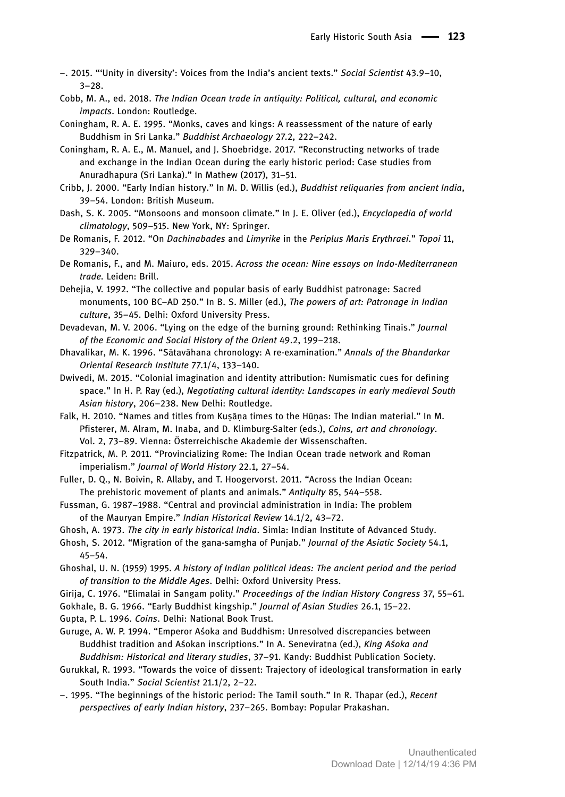- –. 2015. "'Unity in diversity': Voices from the India's ancient texts." *Social Scientist* 43.9–10, 3–28.
- Cobb, M. A., ed. 2018. *The Indian Ocean trade in antiquity: Political, cultural, and economic impacts*. London: Routledge.
- Coningham, R. A. E. 1995. "Monks, caves and kings: A reassessment of the nature of early Buddhism in Sri Lanka." *Buddhist Archaeology* 27.2, 222–242.
- Coningham, R. A. E., M. Manuel, and J. Shoebridge. 2017. "Reconstructing networks of trade and exchange in the Indian Ocean during the early historic period: Case studies from Anuradhapura (Sri Lanka)." In Mathew (2017), 31–51.
- Cribb, J. 2000. "Early Indian history." In M. D. Willis (ed.), *Buddhist reliquaries from ancient India*, 39–54. London: British Museum.
- Dash, S. K. 2005. "Monsoons and monsoon climate." In J. E. Oliver (ed.), *Encyclopedia of world climatology*, 509–515. New York, NY: Springer.

De Romanis, F. 2012. "On *Dachinabades* and *Limyrike* in the *Periplus Maris Erythraei*." *Topoi* 11, 329–340.

- De Romanis, F., and M. Maiuro, eds. 2015. *Across the ocean: Nine essays on Indo-Mediterranean trade.* Leiden: Brill.
- Dehejia, V. 1992. "The collective and popular basis of early Buddhist patronage: Sacred monuments, 100 BC–AD 250." In B. S. Miller (ed.), *The powers of art: Patronage in Indian culture*, 35–45. Delhi: Oxford University Press.
- Devadevan, M. V. 2006. "Lying on the edge of the burning ground: Rethinking Tinais." *Journal of the Economic and Social History of the Orient* 49.2, 199–218.
- Dhavalikar, M. K. 1996. "Sātavāhana chronology: A re-examination." *Annals of the Bhandarkar Oriental Research Institute* 77.1/4, 133–140.
- Dwivedi, M. 2015. "Colonial imagination and identity attribution: Numismatic cues for defining space." In H. P. Ray (ed.), *Negotiating cultural identity: Landscapes in early medieval South Asian history*, 206–238. New Delhi: Routledge.
- Falk, H. 2010. "Names and titles from Kuṣāṇa times to the Hūṇas: The Indian material." In M. Pfisterer, M. Alram, M. Inaba, and D. Klimburg-Salter (eds.), *Coins, art and chronology*. Vol. 2, 73–89. Vienna: Österreichische Akademie der Wissenschaften.
- Fitzpatrick, M. P. 2011. "Provincializing Rome: The Indian Ocean trade network and Roman imperialism." *Journal of World History* 22.1, 27–54.
- Fuller, D. Q., N. Boivin, R. Allaby, and T. Hoogervorst. 2011. "Across the Indian Ocean: The prehistoric movement of plants and animals." *Antiquity* 85, 544–558.
- Fussman, G. 1987–1988. "Central and provincial administration in India: The problem of the Mauryan Empire." *Indian Historical Review* 14.1/2, 43–72.
- Ghosh, A. 1973. *The city in early historical India*. Simla: Indian Institute of Advanced Study.
- Ghosh, S. 2012. "Migration of the gana-samgha of Punjab." *Journal of the Asiatic Society* 54.1, 45–54.
- Ghoshal, U. N. (1959) 1995. *A history of Indian political ideas: The ancient period and the period of transition to the Middle Ages*. Delhi: Oxford University Press.
- Girija, C. 1976. "Elimalai in Sangam polity." *Proceedings of the Indian History Congress* 37, 55–61.
- Gokhale, B. G. 1966. "Early Buddhist kingship." *Journal of Asian Studies* 26.1, 15–22.
- Gupta, P. L. 1996. *Coins*. Delhi: National Book Trust.
- Guruge, A. W. P. 1994. "Emperor Aśoka and Buddhism: Unresolved discrepancies between Buddhist tradition and Aśokan inscriptions." In A. Seneviratna (ed.), *King Aśoka and Buddhism: Historical and literary studies*, 37–91. Kandy: Buddhist Publication Society.
- Gurukkal, R. 1993. "Towards the voice of dissent: Trajectory of ideological transformation in early South India." *Social Scientist* 21.1/2, 2–22.
- –. 1995. "The beginnings of the historic period: The Tamil south." In R. Thapar (ed.), *Recent perspectives of early Indian history*, 237–265. Bombay: Popular Prakashan.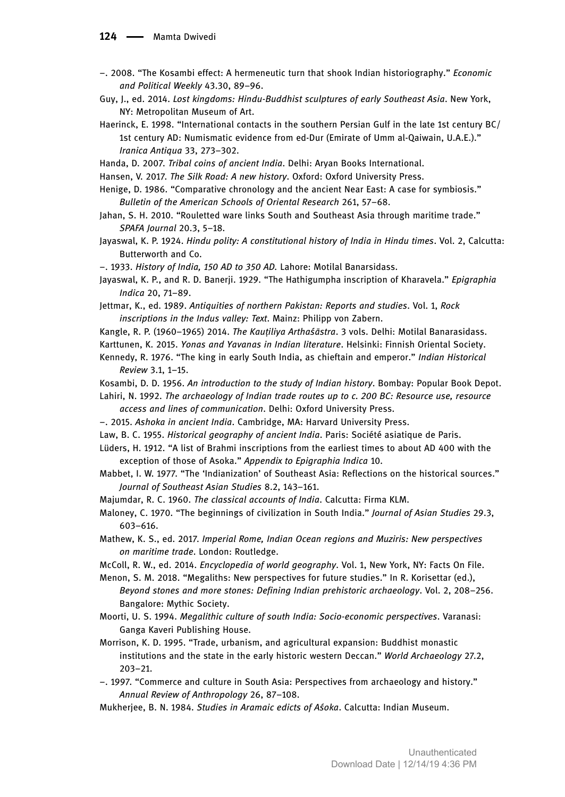- –. 2008. "The Kosambi effect: A hermeneutic turn that shook Indian historiography." *Economic and Political Weekly* 43.30, 89–96.
- Guy, J., ed. 2014. *Lost kingdoms: Hindu-Buddhist sculptures of early Southeast Asia*. New York, NY: Metropolitan Museum of Art.
- Haerinck, E. 1998. "International contacts in the southern Persian Gulf in the late 1st century BC/ 1st century AD: Numismatic evidence from ed-Dur (Emirate of Umm al-Qaiwain, U.A.E.)." *Iranica Antiqua* 33, 273–302.
- Handa, D. 2007. *Tribal coins of ancient India*. Delhi: Aryan Books International.
- Hansen, V. 2017. *The Silk Road: A new history*. Oxford: Oxford University Press.
- Henige, D. 1986. "Comparative chronology and the ancient Near East: A case for symbiosis." *Bulletin of the American Schools of Oriental Research* 261, 57–68.
- Jahan, S. H. 2010. "Rouletted ware links South and Southeast Asia through maritime trade." *SPAFA Journal* 20.3, 5–18.
- Jayaswal, K. P. 1924. *Hindu polity: A constitutional history of India in Hindu times*. Vol. 2, Calcutta: Butterworth and Co.

–. 1933. *History of India, 150 AD to 350 AD.* Lahore: Motilal Banarsidass.

Jayaswal, K. P., and R. D. Banerji. 1929. "The Hathigumpha inscription of Kharavela." *Epigraphia Indica* 20, 71–89.

- Jettmar, K., ed. 1989. *Antiquities of northern Pakistan: Reports and studies*. Vol. 1, *Rock inscriptions in the Indus valley: Text*. Mainz: Philipp von Zabern.
- Kangle, R. P. (1960–1965) 2014. *The Kauṭiliya Arthaśāstra*. 3 vols. Delhi: Motilal Banarasidass.

Karttunen, K. 2015. *Yonas and Yavanas in Indian literature*. Helsinki: Finnish Oriental Society.

- Kennedy, R. 1976. "The king in early South India, as chieftain and emperor." *Indian Historical Review* 3.1, 1–15.
- Kosambi, D. D. 1956. *An introduction to the study of Indian history*. Bombay: Popular Book Depot.

Lahiri, N. 1992. *The archaeology of Indian trade routes up to c. 200 BC: Resource use, resource access and lines of communication*. Delhi: Oxford University Press.

- –. 2015. *Ashoka in ancient India*. Cambridge, MA: Harvard University Press.
- Law, B. C. 1955. *Historical geography of ancient India*. Paris: Société asiatique de Paris.
- Lüders, H. 1912. "A list of Brahmi inscriptions from the earliest times to about AD 400 with the exception of those of Asoka." *Appendix to Epigraphia Indica* 10.
- Mabbet, I. W. 1977. "The 'Indianization' of Southeast Asia: Reflections on the historical sources." *Journal of Southeast Asian Studies* 8.2, 143–161.
- Majumdar, R. C. 1960. *The classical accounts of India*. Calcutta: Firma KLM.
- Maloney, C. 1970. "The beginnings of civilization in South India." *Journal of Asian Studies* 29.3, 603–616.
- Mathew, K. S., ed. 2017. *Imperial Rome, Indian Ocean regions and Muziris: New perspectives on maritime trade*. London: Routledge.
- McColl, R. W., ed. 2014. *Encyclopedia of world geography*. Vol. 1, New York, NY: Facts On File.
- Menon, S. M. 2018. "Megaliths: New perspectives for future studies." In R. Korisettar (ed.), *Beyond stones and more stones: Defining Indian prehistoric archaeology*. Vol. 2, 208–256. Bangalore: Mythic Society.
- Moorti, U. S. 1994. *Megalithic culture of south India: Socio-economic perspectives*. Varanasi: Ganga Kaveri Publishing House.
- Morrison, K. D. 1995. "Trade, urbanism, and agricultural expansion: Buddhist monastic institutions and the state in the early historic western Deccan." *World Archaeology* 27.2, 203–21.
- –. 1997. "Commerce and culture in South Asia: Perspectives from archaeology and history." *Annual Review of Anthropology* 26, 87–108.
- Mukherjee, B. N. 1984. *Studies in Aramaic edicts of Aśoka*. Calcutta: Indian Museum.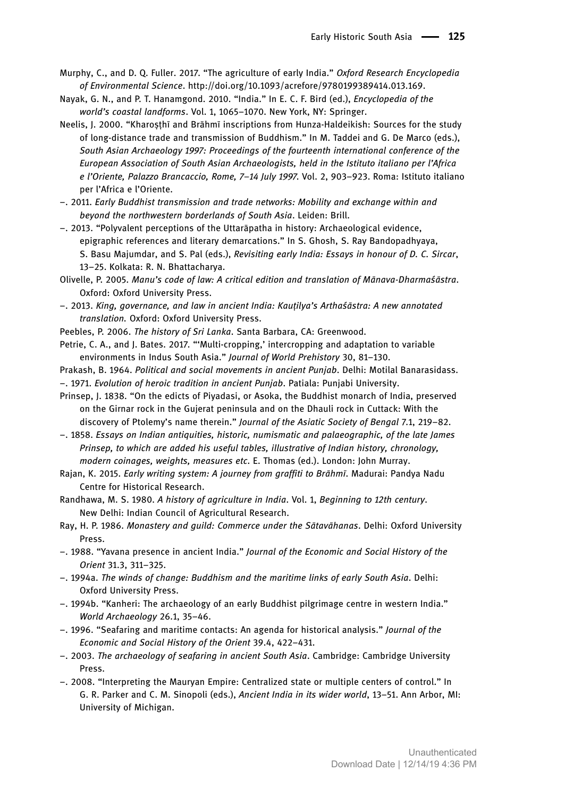- Murphy, C., and D. Q. Fuller. 2017. "The agriculture of early India." *Oxford Research Encyclopedia of Environmental Science*. http://doi.org/10.1093/acrefore/9780199389414.013.169.
- Nayak, G. N., and P. T. Hanamgond. 2010. "India." In E. C. F. Bird (ed.), *Encyclopedia of the world's coastal landforms*. Vol. 1, 1065–1070. New York, NY: Springer.
- Neelis, I. 2000. "Kharosthī and Brāhmī inscriptions from Hunza-Haldeikish: Sources for the study of long-distance trade and transmission of Buddhism." In M. Taddei and G. De Marco (eds.), *South Asian Archaeology 1997: Proceedings of the fourteenth international conference of the European Association of South Asian Archaeologists, held in the Istituto italiano per l'Africa e l'Oriente, Palazzo Brancaccio, Rome, 7–14 July 1997*. Vol. 2, 903–923. Roma: Istituto italiano per l'Africa e l'Oriente.
- –. 2011. *Early Buddhist transmission and trade networks: Mobility and exchange within and beyond the northwestern borderlands of South Asia*. Leiden: Brill.
- –. 2013. "Polyvalent perceptions of the Uttarāpatha in history: Archaeological evidence, epigraphic references and literary demarcations." In S. Ghosh, S. Ray Bandopadhyaya, S. Basu Majumdar, and S. Pal (eds.), *Revisiting early India: Essays in honour of D. C. Sircar*, 13–25. Kolkata: R. N. Bhattacharya.
- Olivelle, P. 2005. *Manu's code of law: A critical edition and translation of Mānava-Dharmaśāstra*. Oxford: Oxford University Press.
- –. 2013. *King, governance, and law in ancient India: Kauṭilya's Arthaśāstra: A new annotated translation.* Oxford: Oxford University Press.
- Peebles, P. 2006. *The history of Sri Lanka*. Santa Barbara, CA: Greenwood.
- Petrie, C. A., and J. Bates. 2017. "'Multi-cropping,' intercropping and adaptation to variable environments in Indus South Asia." *Journal of World Prehistory* 30, 81–130.
- Prakash, B. 1964. *Political and social movements in ancient Punjab*. Delhi: Motilal Banarasidass. –. 1971. *Evolution of heroic tradition in ancient Punjab*. Patiala: Punjabi University.
- Prinsep, J. 1838. "On the edicts of Piyadasi, or Asoka, the Buddhist monarch of India, preserved on the Girnar rock in the Gujerat peninsula and on the Dhauli rock in Cuttack: With the discovery of Ptolemy's name therein." *Journal of the Asiatic Society of Bengal* 7.1, 219–82.
- –. 1858. *Essays on Indian antiquities, historic, numismatic and palaeographic, of the late James Prinsep, to which are added his useful tables, illustrative of Indian history, chronology, modern coinages, weights, measures etc*. E. Thomas (ed.). London: John Murray.
- Rajan, K. 2015. *Early writing system: A journey from graffiti to Brāhmī*. Madurai: Pandya Nadu Centre for Historical Research.
- Randhawa, M. S. 1980. *A history of agriculture in India*. Vol. 1, *Beginning to 12th century*. New Delhi: Indian Council of Agricultural Research.
- Ray, H. P. 1986. *Monastery and guild: Commerce under the Sātavāhanas*. Delhi: Oxford University Press.
- –. 1988. "Yavana presence in ancient India." *Journal of the Economic and Social History of the Orient* 31.3, 311–325.
- –. 1994a. *The winds of change: Buddhism and the maritime links of early South Asia*. Delhi: Oxford University Press.
- –. 1994b. "Kanheri: The archaeology of an early Buddhist pilgrimage centre in western India." *World Archaeology* 26.1, 35–46.
- –. 1996. "Seafaring and maritime contacts: An agenda for historical analysis." *Journal of the Economic and Social History of the Orient* 39.4, 422–431.
- –. 2003. *The archaeology of seafaring in ancient South Asia*. Cambridge: Cambridge University Press.
- –. 2008. "Interpreting the Mauryan Empire: Centralized state or multiple centers of control." In G. R. Parker and C. M. Sinopoli (eds.), *Ancient India in its wider world*, 13–51. Ann Arbor, MI: University of Michigan.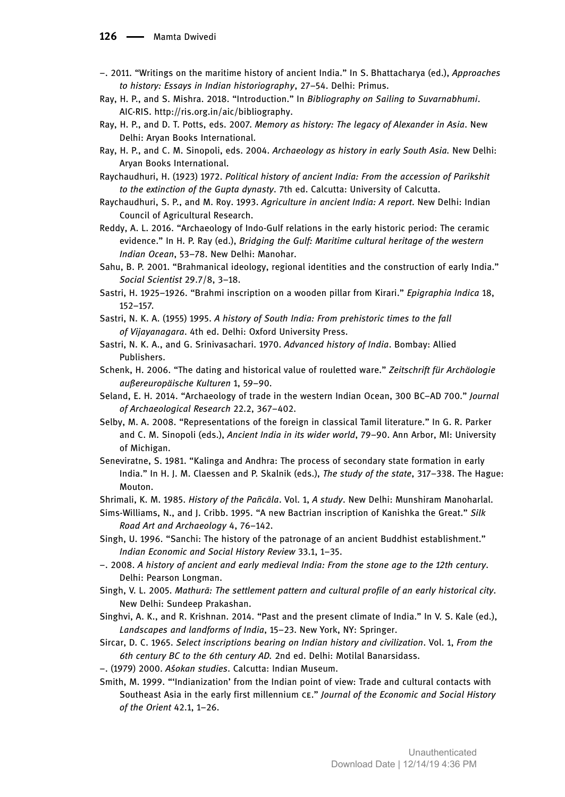- –. 2011. "Writings on the maritime history of ancient India." In S. Bhattacharya (ed.), *Approaches to history: Essays in Indian historiography*, 27–54. Delhi: Primus.
- Ray, H. P., and S. Mishra. 2018. "Introduction." In *Bibliography on Sailing to Suvarnabhumi*. AIC-RIS. http://ris.org.in/aic/bibliography.
- Ray, H. P., and D. T. Potts, eds. 2007. *Memory as history: The legacy of Alexander in Asia*. New Delhi: Aryan Books International.
- Ray, H. P., and C. M. Sinopoli, eds. 2004. *Archaeology as history in early South Asia.* New Delhi: Aryan Books International.
- Raychaudhuri, H. (1923) 1972. *Political history of ancient India: From the accession of Parikshit to the extinction of the Gupta dynasty*. 7th ed. Calcutta: University of Calcutta.
- Raychaudhuri, S. P., and M. Roy. 1993. *Agriculture in ancient India: A report*. New Delhi: Indian Council of Agricultural Research.
- Reddy, A. L. 2016. "Archaeology of Indo-Gulf relations in the early historic period: The ceramic evidence." In H. P. Ray (ed.), *Bridging the Gulf: Maritime cultural heritage of the western Indian Ocean*, 53–78. New Delhi: Manohar.
- Sahu, B. P. 2001. "Brahmanical ideology, regional identities and the construction of early India." *Social Scientist* 29.7/8, 3–18.
- Sastri, H. 1925–1926. "Brahmi inscription on a wooden pillar from Kirari." *Epigraphia Indica* 18, 152–157.
- Sastri, N. K. A. (1955) 1995. *A history of South India: From prehistoric times to the fall of Vijayanagara*. 4th ed. Delhi: Oxford University Press.
- Sastri, N. K. A., and G. Srinivasachari. 1970. *Advanced history of India*. Bombay: Allied Publishers.
- Schenk, H. 2006. "The dating and historical value of rouletted ware." *Zeitschrift für Archäologie außereuropäische Kulturen* 1, 59–90.
- Seland, E. H. 2014. "Archaeology of trade in the western Indian Ocean, 300 BC–AD 700." *Journal of Archaeological Research* 22.2, 367–402.
- Selby, M. A. 2008. "Representations of the foreign in classical Tamil literature." In G. R. Parker and C. M. Sinopoli (eds.), *Ancient India in its wider world*, 79–90. Ann Arbor, MI: University of Michigan.
- Seneviratne, S. 1981. "Kalinga and Andhra: The process of secondary state formation in early India." In H. J. M. Claessen and P. Skalnik (eds.), *The study of the state*, 317–338. The Hague: Mouton.
- Shrimali, K. M. 1985. *History of the Pañcāla*. Vol. 1, *A study*. New Delhi: Munshiram Manoharlal.
- Sims-Williams, N., and J. Cribb. 1995. "A new Bactrian inscription of Kanishka the Great." *Silk Road Art and Archaeology* 4, 76–142.
- Singh, U. 1996. "Sanchi: The history of the patronage of an ancient Buddhist establishment." *Indian Economic and Social History Review* 33.1, 1–35.
- –. 2008. *A history of ancient and early medieval India: From the stone age to the 12th century*. Delhi: Pearson Longman.
- Singh, V. L. 2005. *Mathurā: The settlement pattern and cultural profile of an early historical city*. New Delhi: Sundeep Prakashan.
- Singhvi, A. K., and R. Krishnan. 2014. "Past and the present climate of India." In V. S. Kale (ed.), *Landscapes and landforms of India*, 15–23. New York, NY: Springer.
- Sircar, D. C. 1965. *Select inscriptions bearing on Indian history and civilization*. Vol. 1, *From the 6th century BC to the 6th century AD.* 2nd ed. Delhi: Motilal Banarsidass.
- –. (1979) 2000. *Aśokan studies*. Calcutta: Indian Museum.
- Smith, M. 1999. "'Indianization' from the Indian point of view: Trade and cultural contacts with Southeast Asia in the early first millennium CE." Journal of the Economic and Social History *of the Orient* 42.1, 1–26.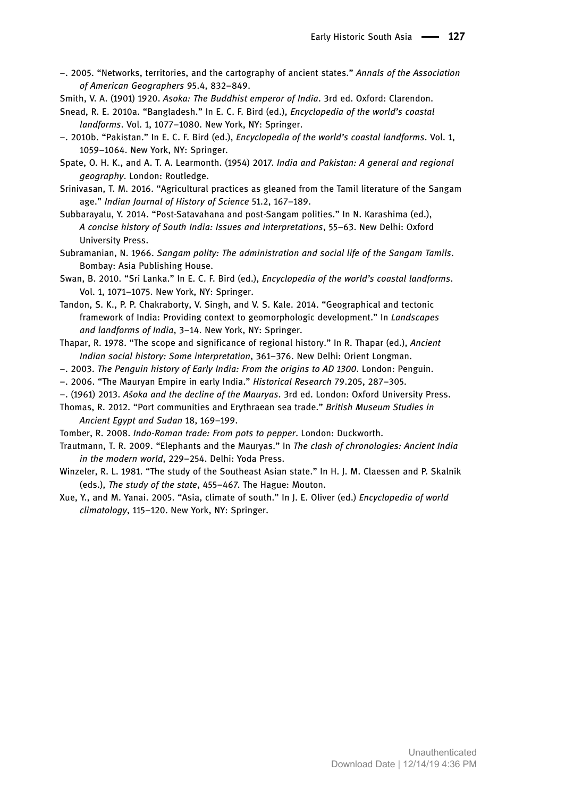- –. 2005. "Networks, territories, and the cartography of ancient states." *Annals of the Association of American Geographers* 95.4, 832–849.
- Smith, V. A. (1901) 1920. *Asoka: The Buddhist emperor of India*. 3rd ed. Oxford: Clarendon.
- Snead, R. E. 2010a. "Bangladesh." In E. C. F. Bird (ed.), *Encyclopedia of the world's coastal landforms*. Vol. 1, 1077–1080. New York, NY: Springer.
- –. 2010b. "Pakistan." In E. C. F. Bird (ed.), *Encyclopedia of the world's coastal landforms*. Vol. 1, 1059–1064. New York, NY: Springer.
- Spate, O. H. K., and A. T. A. Learmonth. (1954) 2017. *India and Pakistan: A general and regional geography*. London: Routledge.
- Srinivasan, T. M. 2016. "Agricultural practices as gleaned from the Tamil literature of the Sangam age." *Indian Journal of History of Science* 51.2, 167–189.
- Subbarayalu, Y. 2014. "Post-Satavahana and post-Sangam polities." In N. Karashima (ed.), *A concise history of South India: Issues and interpretations*, 55–63. New Delhi: Oxford University Press.
- Subramanian, N. 1966. *Sangam polity: The administration and social life of the Sangam Tamils*. Bombay: Asia Publishing House.
- Swan, B. 2010. "Sri Lanka." In E. C. F. Bird (ed.), *Encyclopedia of the world's coastal landforms*. Vol. 1, 1071–1075. New York, NY: Springer.
- Tandon, S. K., P. P. Chakraborty, V. Singh, and V. S. Kale. 2014. "Geographical and tectonic framework of India: Providing context to geomorphologic development." In *Landscapes and landforms of India*, 3–14. New York, NY: Springer.
- Thapar, R. 1978. "The scope and significance of regional history." In R. Thapar (ed.), *Ancient Indian social history: Some interpretation*, 361–376. New Delhi: Orient Longman.
- –. 2003. *The Penguin history of Early India: From the origins to AD 1300*. London: Penguin.
- –. 2006. "The Mauryan Empire in early India." *Historical Research* 79.205, 287–305.
- –. (1961) 2013. *Aśoka and the decline of the Mauryas*. 3rd ed. London: Oxford University Press.
- Thomas, R. 2012. "Port communities and Erythraean sea trade." *British Museum Studies in Ancient Egypt and Sudan* 18, 169–199.
- Tomber, R. 2008. *Indo-Roman trade: From pots to pepper*. London: Duckworth.
- Trautmann, T. R. 2009. "Elephants and the Mauryas." In *The clash of chronologies: Ancient India in the modern world*, 229–254. Delhi: Yoda Press.
- Winzeler, R. L. 1981. "The study of the Southeast Asian state." In H. J. M. Claessen and P. Skalnik (eds.), *The study of the state*, 455–467. The Hague: Mouton.
- Xue, Y., and M. Yanai. 2005. "Asia, climate of south." In J. E. Oliver (ed.) *Encyclopedia of world climatology*, 115–120. New York, NY: Springer.